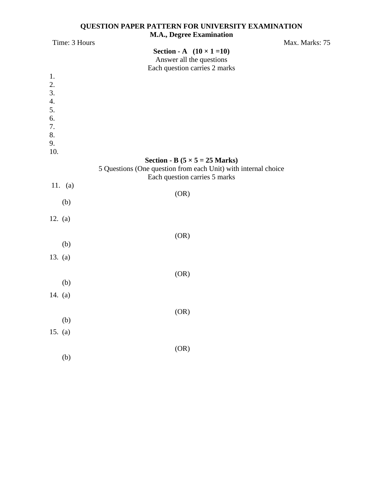#### **QUESTION PAPER PATTERN FOR UNIVERSITY EXAMINATION M.A., Degree Examination**

| Time: 3 Hours          | $\cdots$ $\cdots$ $\cdots$ $\cdots$ $\cdots$<br>$\overline{\phantom{a}}$                                        | Max. Marks: 75 |
|------------------------|-----------------------------------------------------------------------------------------------------------------|----------------|
|                        | <b>Section - A</b> $(10 \times 1 = 10)$                                                                         |                |
|                        | Answer all the questions                                                                                        |                |
|                        | Each question carries 2 marks                                                                                   |                |
| 1.                     |                                                                                                                 |                |
| 2.                     |                                                                                                                 |                |
| 3.<br>$\overline{4}$ . |                                                                                                                 |                |
| 5.                     |                                                                                                                 |                |
| 6.                     |                                                                                                                 |                |
| 7.                     |                                                                                                                 |                |
| 8.                     |                                                                                                                 |                |
| 9.                     |                                                                                                                 |                |
| 10.                    |                                                                                                                 |                |
|                        | <b>Section - B</b> ( $5 \times 5 = 25$ Marks)<br>5 Questions (One question from each Unit) with internal choice |                |
|                        | Each question carries 5 marks                                                                                   |                |
| 11. $(a)$              |                                                                                                                 |                |
|                        | (OR)                                                                                                            |                |
| (b)                    |                                                                                                                 |                |
|                        |                                                                                                                 |                |
| 12. $(a)$              |                                                                                                                 |                |
|                        | (OR)                                                                                                            |                |
| (b)                    |                                                                                                                 |                |
| 13. $(a)$              |                                                                                                                 |                |
|                        |                                                                                                                 |                |
|                        | (OR)                                                                                                            |                |
| (b)                    |                                                                                                                 |                |
| 14. $(a)$              |                                                                                                                 |                |
|                        |                                                                                                                 |                |
|                        | (OR)                                                                                                            |                |
| (b)                    |                                                                                                                 |                |
| 15. (a)                |                                                                                                                 |                |
|                        |                                                                                                                 |                |
|                        | (OR)                                                                                                            |                |
| (b)                    |                                                                                                                 |                |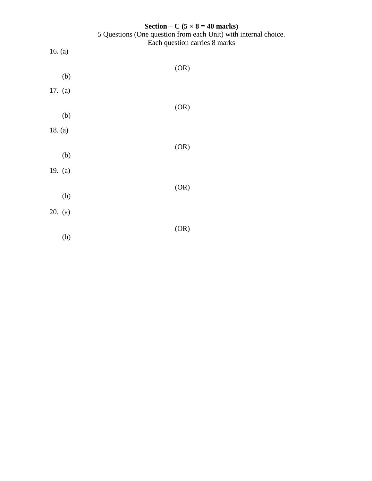|           | Section – C ( $5 \times 8 = 40$ marks)                                                           |
|-----------|--------------------------------------------------------------------------------------------------|
|           | 5 Questions (One question from each Unit) with internal choice.<br>Each question carries 8 marks |
| 16. $(a)$ |                                                                                                  |
|           | (OR)                                                                                             |
| (b)       |                                                                                                  |
| 17. (a)   |                                                                                                  |
|           | (OR)                                                                                             |
| (b)       |                                                                                                  |
| 18. $(a)$ |                                                                                                  |
|           | (OR)                                                                                             |
| (b)       |                                                                                                  |
| 19. (a)   |                                                                                                  |
|           | (OR)                                                                                             |
| (b)       |                                                                                                  |
| 20. (a)   |                                                                                                  |
|           |                                                                                                  |
| (b)       | (OR)                                                                                             |
|           |                                                                                                  |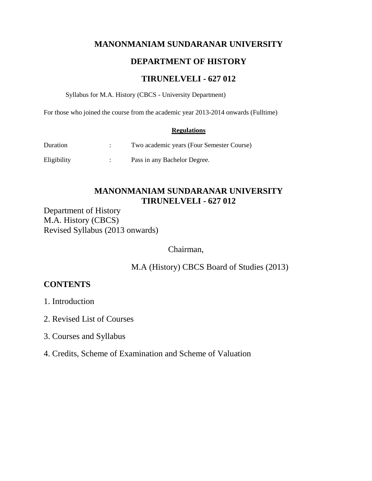# **MANONMANIAM SUNDARANAR UNIVERSITY**

# **DEPARTMENT OF HISTORY**

# **TIRUNELVELI - 627 012**

Syllabus for M.A. History (CBCS - University Department)

For those who joined the course from the academic year 2013-2014 onwards (Fulltime)

#### **Regulations**

| Duration    | Two academic years (Four Semester Course) |
|-------------|-------------------------------------------|
| Eligibility | Pass in any Bachelor Degree.              |

# **MANONMANIAM SUNDARANAR UNIVERSITY TIRUNELVELI - 627 012**

Department of History M.A. History (CBCS) Revised Syllabus (2013 onwards)

Chairman,

M.A (History) CBCS Board of Studies (2013)

# **CONTENTS**

1. Introduction

- 2. Revised List of Courses
- 3. Courses and Syllabus
- 4. Credits, Scheme of Examination and Scheme of Valuation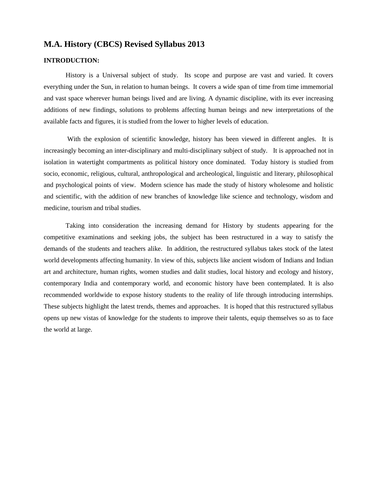# **M.A. History (CBCS) Revised Syllabus 2013**

#### **INTRODUCTION:**

History is a Universal subject of study. Its scope and purpose are vast and varied. It covers everything under the Sun, in relation to human beings. It covers a wide span of time from time immemorial and vast space wherever human beings lived and are living. A dynamic discipline, with its ever increasing additions of new findings, solutions to problems affecting human beings and new interpretations of the available facts and figures, it is studied from the lower to higher levels of education.

With the explosion of scientific knowledge, history has been viewed in different angles. It is increasingly becoming an inter-disciplinary and multi-disciplinary subject of study. It is approached not in isolation in watertight compartments as political history once dominated. Today history is studied from socio, economic, religious, cultural, anthropological and archeological, linguistic and literary, philosophical and psychological points of view. Modern science has made the study of history wholesome and holistic and scientific, with the addition of new branches of knowledge like science and technology, wisdom and medicine, tourism and tribal studies.

Taking into consideration the increasing demand for History by students appearing for the competitive examinations and seeking jobs, the subject has been restructured in a way to satisfy the demands of the students and teachers alike. In addition, the restructured syllabus takes stock of the latest world developments affecting humanity. In view of this, subjects like ancient wisdom of Indians and Indian art and architecture, human rights, women studies and dalit studies, local history and ecology and history, contemporary India and contemporary world, and economic history have been contemplated. It is also recommended worldwide to expose history students to the reality of life through introducing internships. These subjects highlight the latest trends, themes and approaches. It is hoped that this restructured syllabus opens up new vistas of knowledge for the students to improve their talents, equip themselves so as to face the world at large.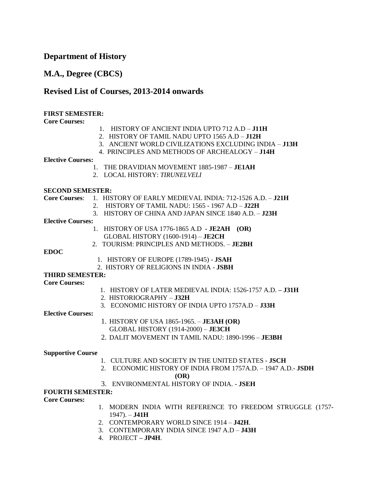# **Department of History**

# **M.A., Degree (CBCS)**

# **Revised List of Courses, 2013-2014 onwards**

#### **FIRST SEMESTER:**

#### **Core Courses:**

- 1. HISTORY OF ANCIENT INDIA UPTO 712 A.D **J11H**
- 2. HISTORY OF TAMIL NADU UPTO 1565 A.D **J12H**
- 3. ANCIENT WORLD CIVILIZATIONS EXCLUDING INDIA **J13H**
- 4. PRINCIPLES AND METHODS OF ARCHEALOGY **J14H**

#### **Elective Courses:**

- 1. THE DRAVIDIAN MOVEMENT 1885-1987 **JE1AH**
- 2. LOCAL HISTORY: *TIRUNELVELI*

#### **SECOND SEMESTER:**

| <b>SECOND SEMESTER:</b>  |                                                              |
|--------------------------|--------------------------------------------------------------|
| <b>Core Courses:</b>     | 1. HISTORY OF EARLY MEDIEVAL INDIA: 712-1526 A.D. - J21H     |
|                          | <b>HISTORY OF TAMIL NADU: 1565 - 1967 A.D - J22H</b><br>2.   |
|                          | 3. HISTORY OF CHINA AND JAPAN SINCE 1840 A.D. - J23H         |
| <b>Elective Courses:</b> |                                                              |
|                          | HISTORY OF USA 1776-1865 A.D - JE2AH $(OR)$<br>$1_{-}$       |
|                          | <b>GLOBAL HISTORY (1600-1914) - JE2CH</b>                    |
|                          | 2. TOURISM: PRINCIPLES AND METHODS. - JE2BH                  |
| <b>EDOC</b>              |                                                              |
|                          | 1. HISTORY OF EUROPE (1789-1945) - JSAH                      |
|                          | 2. HISTORY OF RELIGIONS IN INDIA - JSBH                      |
| <b>THIRD SEMESTER:</b>   |                                                              |
| <b>Core Courses:</b>     |                                                              |
|                          | 1. HISTORY OF LATER MEDIEVAL INDIA: 1526-1757 A.D. - J31H    |
|                          | 2. HISTORIOGRAPHY - J32H                                     |
|                          | 3. ECONOMIC HISTORY OF INDIA UPTO 1757A.D - J33H             |
| <b>Elective Courses:</b> |                                                              |
|                          | 1. HISTORY OF USA 1865-1965. - <b>JE3AH (OR)</b>             |
|                          | GLOBAL HISTORY (1914-2000) - JE3CH                           |
|                          | 2. DALIT MOVEMENT IN TAMIL NADU: 1890-1996 - JE3BH           |
|                          |                                                              |
| <b>Supportive Course</b> |                                                              |
|                          | 1. CULTURE AND SOCIETY IN THE UNITED STATES - <b>JSCH</b>    |
|                          | 2. ECONOMIC HISTORY OF INDIA FROM 1757A.D. - 1947 A.D.- JSDH |
|                          | (OR)                                                         |
|                          | 3. ENVIRONMENTAL HISTORY OF INDIA. - JSEH                    |
| <b>FOURTH SEMESTER:</b>  |                                                              |
| <b>Core Courses:</b>     |                                                              |
|                          | 1 MODERN INDIA WITH REEERENCE TO EREEDOM STRUGGLE            |

- 1. MODERN INDIA WITH REFERENCE TO FREEDOM STRUGGLE (1757- 1947). – **J41H**
- 2. CONTEMPORARY WORLD SINCE 1914 **J42H**.
- 3. CONTEMPORARY INDIA SINCE 1947 A.D **J43H**
- 4. PROJECT **– JP4H**.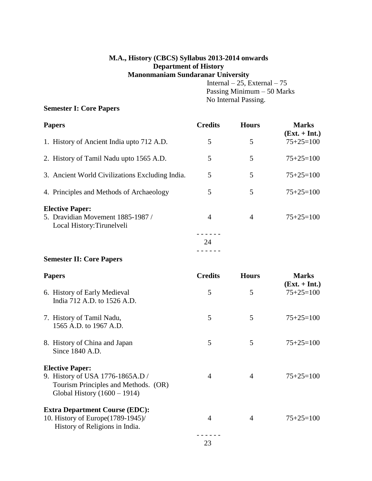# **M.A., History (CBCS) Syllabus 2013-2014 onwards Department of History Manonmaniam Sundaranar University**

Internal – 25, External – 75 Passing Minimum – 50 Marks No Internal Passing.

# **Semester I: Core Papers**

| <b>Papers</b>                                                                             | <b>Credits</b> | <b>Hours</b> | <b>Marks</b><br>$(Ext. + Int.)$ |
|-------------------------------------------------------------------------------------------|----------------|--------------|---------------------------------|
| 1. History of Ancient India upto 712 A.D.                                                 | 5              | 5            | $75+25=100$                     |
| 2. History of Tamil Nadu upto 1565 A.D.                                                   | 5              | 5            | $75+25=100$                     |
| 3. Ancient World Civilizations Excluding India.                                           | 5              | 5            | $75+25=100$                     |
| 4. Principles and Methods of Archaeology                                                  | 5              | 5            | $75+25=100$                     |
| <b>Elective Paper:</b><br>5. Dravidian Movement 1885-1987 /<br>Local History: Tirunelveli | 4              | 4            | $75+25=100$                     |
|                                                                                           | 24             |              |                                 |
|                                                                                           |                |              |                                 |

## **Semester II: Core Papers**

| <b>Papers</b>                                                                                              | <b>Credits</b> | <b>Hours</b> | <b>Marks</b><br>$(Ext. + Int.)$ |
|------------------------------------------------------------------------------------------------------------|----------------|--------------|---------------------------------|
| 6. History of Early Medieval<br>India 712 A.D. to 1526 A.D.                                                | 5              | 5            | $75+25=100$                     |
| 7. History of Tamil Nadu,<br>1565 A.D. to 1967 A.D.                                                        | 5              | 5            | $75+25=100$                     |
| 8. History of China and Japan<br>Since 1840 A.D.                                                           | 5              | 5            | $75+25=100$                     |
| <b>Elective Paper:</b>                                                                                     |                |              |                                 |
| 9. History of USA 1776-1865A.D /<br>Tourism Principles and Methods. (OR)<br>Global History $(1600 - 1914)$ | 4              | 4            | $75+25=100$                     |
| <b>Extra Department Course (EDC):</b>                                                                      |                |              |                                 |
| 10. History of Europe (1789-1945)/<br>History of Religions in India.                                       | 4              | 4            | $75+25=100$                     |
|                                                                                                            |                |              |                                 |

23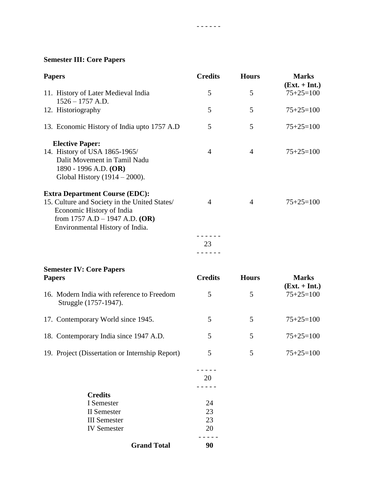# **Semester III: Core Papers**

| <b>Papers</b>                                                                                                                                                                                | <b>Credits</b>  | <b>Hours</b>   | <b>Marks</b><br>$(Ext. + Int.)$ |
|----------------------------------------------------------------------------------------------------------------------------------------------------------------------------------------------|-----------------|----------------|---------------------------------|
| 11. History of Later Medieval India<br>$1526 - 1757$ A.D.                                                                                                                                    | 5               | 5              | $75+25=100$                     |
| 12. Historiography                                                                                                                                                                           | 5               | 5              | $75+25=100$                     |
| 13. Economic History of India upto 1757 A.D                                                                                                                                                  | 5               | 5              | $75+25=100$                     |
| <b>Elective Paper:</b><br>14. History of USA 1865-1965/<br>Dalit Movement in Tamil Nadu<br>1890 - 1996 A.D. (OR)<br>Global History $(1914 - 2000)$ .                                         | $\overline{4}$  | $\overline{4}$ | $75+25=100$                     |
| <b>Extra Department Course (EDC):</b><br>15. Culture and Society in the United States/<br>Economic History of India<br>from $1757$ A.D $- 1947$ A.D. (OR)<br>Environmental History of India. | 4               | 4              | $75+25=100$                     |
|                                                                                                                                                                                              | 23<br>- - - - - |                |                                 |
| <b>Semester IV: Core Papers</b>                                                                                                                                                              |                 |                |                                 |
| <b>Papers</b>                                                                                                                                                                                | <b>Credits</b>  | <b>Hours</b>   | <b>Marks</b><br>$(Ext. + Int.)$ |
| 16. Modern India with reference to Freedom<br>Struggle (1757-1947).                                                                                                                          | 5               | 5              | $75+25=100$                     |
| 17. Contemporary World since 1945.                                                                                                                                                           | 5               | 5              | $75+25=100$                     |
| 18. Contemporary India since 1947 A.D.                                                                                                                                                       | 5               | 5              | $75+25=100$                     |
| 19. Project (Dissertation or Internship Report)                                                                                                                                              | 5               | 5              | $75+25=100$                     |
|                                                                                                                                                                                              | 20              |                |                                 |
| <b>Credits</b><br>I Semester                                                                                                                                                                 | 24              |                |                                 |
| <b>II</b> Semester                                                                                                                                                                           | 23              |                |                                 |
| <b>III</b> Semester                                                                                                                                                                          | 23              |                |                                 |
| <b>IV</b> Semester                                                                                                                                                                           | 20              |                |                                 |
|                                                                                                                                                                                              |                 |                |                                 |

- - - - - -

**Grand Total 90**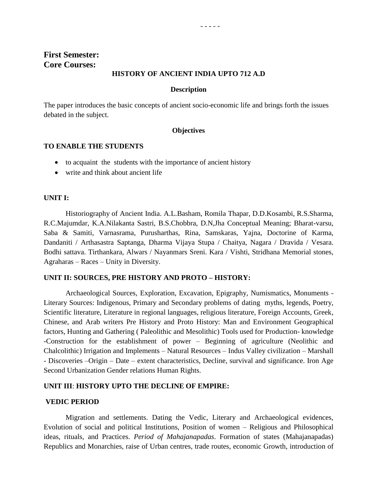#### **HISTORY OF ANCIENT INDIA UPTO 712 A.D**

- - - - -

#### **Description**

The paper introduces the basic concepts of ancient socio-economic life and brings forth the issues debated in the subject.

#### **Objectives**

#### **TO ENABLE THE STUDENTS**

- to acquaint the students with the importance of ancient history
- write and think about ancient life

#### **UNIT I:**

Historiography of Ancient India. A.L.Basham, Romila Thapar, D.D.Kosambi, R.S.Sharma, R.C.Majumdar, K.A.Nilakanta Sastri, B.S.Chobbra, D.N,Jha Conceptual Meaning; Bharat-varsu, Saba & Samiti, Varnasrama, Purusharthas, Rina, Samskaras, Yajna, Doctorine of Karma, Dandaniti / Arthasastra Saptanga, Dharma Vijaya Stupa / Chaitya, Nagara / Dravida / Vesara. Bodhi sattava. Tirthankara, Alwars / Nayanmars Sreni. Kara / Vishti, Stridhana Memorial stones, Agraharas – Races – Unity in Diversity.

#### **UNIT II: SOURCES, PRE HISTORY AND PROTO – HISTORY:**

Archaeological Sources, Exploration, Excavation, Epigraphy, Numismatics, Monuments - Literary Sources: Indigenous, Primary and Secondary problems of dating myths, legends, Poetry, Scientific literature, Literature in regional languages, religious literature, Foreign Accounts, Greek, Chinese, and Arab writers Pre History and Proto History: Man and Environment Geographical factors, Hunting and Gathering ( Paleolithic and Mesolithic) Tools used for Production- knowledge -Construction for the establishment of power – Beginning of agriculture (Neolithic and Chalcolithic) Irrigation and Implements – Natural Resources – Indus Valley civilization – Marshall - Discoveries –Origin – Date – extent characteristics, Decline, survival and significance. Iron Age Second Urbanization Gender relations Human Rights.

#### **UNIT III**: **HISTORY UPTO THE DECLINE OF EMPIRE:**

#### **VEDIC PERIOD**

Migration and settlements. Dating the Vedic, Literary and Archaeological evidences, Evolution of social and political Institutions, Position of women – Religious and Philosophical ideas, rituals, and Practices. *Period of Mahajanapadas*. Formation of states (Mahajanapadas) Republics and Monarchies, raise of Urban centres, trade routes, economic Growth, introduction of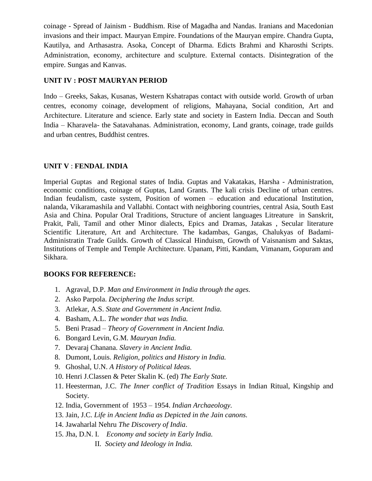coinage - Spread of Jainism - Buddhism. Rise of Magadha and Nandas. Iranians and Macedonian invasions and their impact. Mauryan Empire. Foundations of the Mauryan empire. Chandra Gupta, Kautilya, and Arthasastra. Asoka, Concept of Dharma. Edicts Brahmi and Kharosthi Scripts. Administration, economy, architecture and sculpture. External contacts. Disintegration of the empire. Sungas and Kanvas.

## **UNIT IV : POST MAURYAN PERIOD**

Indo – Greeks, Sakas, Kusanas, Western Kshatrapas contact with outside world. Growth of urban centres, economy coinage, development of religions, Mahayana, Social condition, Art and Architecture. Literature and science. Early state and society in Eastern India. Deccan and South India – Kharavela- the Satavahanas. Administration, economy, Land grants, coinage, trade guilds and urban centres, Buddhist centres.

## **UNIT V** : **FENDAL INDIA**

Imperial Guptas and Regional states of India. Guptas and Vakatakas, Harsha - Administration, economic conditions, coinage of Guptas, Land Grants. The kali crisis Decline of urban centres. Indian feudalism, caste system, Position of women – education and educational Institution, nalanda, Vikaramashila and Vallabhi. Contact with neighboring countries, central Asia, South East Asia and China. Popular Oral Traditions, Structure of ancient languages Litreature in Sanskrit, Prakit, Pali, Tamil and other Minor dialects, Epics and Dramas, Jatakas , Secular literature Scientific Literature, Art and Architecture. The kadambas, Gangas, Chalukyas of Badami-Administratin Trade Guilds. Growth of Classical Hinduism, Growth of Vaisnanism and Saktas, Institutions of Temple and Temple Architecture. Upanam, Pitti, Kandam, Vimanam, Gopuram and Sikhara.

- 1. Agraval, D.P. *Man and Environment in India through the ages.*
- 2. Asko Parpola. *Deciphering the Indus script.*
- 3. Atlekar, A.S. *State and Government in Ancient India.*
- 4. Basham, A.L. *The wonder that was India.*
- 5. Beni Prasad *Theory of Government in Ancient India.*
- 6. Bongard Levin, G.M. *Mauryan India.*
- 7. Devaraj Chanana. *Slavery in Ancient India.*
- 8. Dumont, Louis. *Religion, politics and History in India.*
- 9. Ghoshal, U.N. *A History of Political Ideas.*
- 10. Henri J.Classen & Peter Skalin K. (ed) *The Early State.*
- 11. Heesterman, J.C. *The Inner conflict of Tradition* Essays in Indian Ritual, Kingship and Society.
- 12. India, Government of 1953 1954. *Indian Archaeology.*
- 13. Jain, J.C. *Life in Ancient India as Depicted in the Jain canons.*
- 14. Jawaharlal Nehru *The Discovery of India*.
- 15. Jha, D.N. I. *Economy and society in Early India.*
	- II. *Society and Ideology in India.*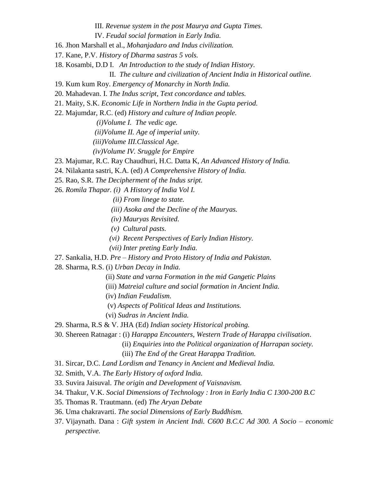III. *Revenue system in the post Maurya and Gupta Times.*

IV. *Feudal social formation in Early India.*

- 16. Jhon Marshall et al., *Mohanjadaro and Indus civilization.*
- 17. Kane, P.V. *History of Dharma sastras 5 vols.*
- 18. Kosambi, D.D I. *An Introduction to the study of Indian History.*
	- II. *The culture and civilization of Ancient India in Historical outline.*
- 19. Kum kum Roy. *Emergency of Monarchy in North India.*
- 20. Mahadevan. I. *The Indus script, Text concordance and tables.*
- 21. Maity, S.K. *Economic Life in Northern India in the Gupta period.*
- 22. Majumdar, R.C. (ed) *History and culture of Indian people.*

 *(i)Volume I. The vedic age.*

 *(ii)Volume II. Age of imperial unity.*

 *(iii)Volume III.Classical Age.*

 *(iv)Volume IV. Sruggle for Empire* 

23. Majumar, R.C. Ray Chaudhuri, H.C. Datta K, *An Advanced History of India.*

24. Nilakanta sastri, K.A. (ed) *A Comprehensive History of India.*

25. Rao, S.R. *The Decipherment of the Indus sript.*

26. *Romila Thapar. (i) A History of India Vol I.*

 *(ii) From linege to state.*

- *(iii) Asoka and the Decline of the Mauryas.*
- *(iv) Mauryas Revisited.*
- *(v) Cultural pasts.*
- *(vi) Recent Perspectives of Early Indian History.*
- *(vii) Inter preting Early India.*
- 27. Sankalia, H.D. *Pre – History and Proto History of India and Pakistan.*
- 28. Sharma, R.S. (i) *Urban Decay in India.*
	- (ii) *State and varna Formation in the mid Gangetic Plains*
	- (iii) *Matreial culture and social formation in Ancient India.*
	- (iv) *Indian Feudalism.*
	- (v) *Aspects of Political Ideas and Institutions.*
	- (vi) *Sudras in Ancient India.*
- 29. Sharma, R.S & V. JHA (Ed) *Indian society Historical probing.*
- 30. Shereen Ratnagar : (i) *Harappa Encounters, Western Trade of Harappa civilisation*.

(ii) *Enquiries into the Political organization of Harrapan society.*

- 31. Sircar, D.C. *Land Lordism and Tenancy in Ancient and Medieval India.*
- 32. Smith, V.A. *The Early History of oxford India.*
- 33. Suvira Jaisuval. *The origin and Development of Vaisnavism.*
- 34. Thakur, V.K. *Social Dimensions of Technology : Iron in Early India C 1300-200 B.C*
- 35. Thomas R. Trautmann. (ed) *The Aryan Debate*
- 36. Uma chakravarti. *The social Dimensions of Early Buddhism.*
- 37. Vijaynath. Dana : *Gift system in Ancient Indi. C600 B.C.C Ad 300. A Socio – economic perspective.*

 <sup>(</sup>iii) *The End of the Great Harappa Tradition.*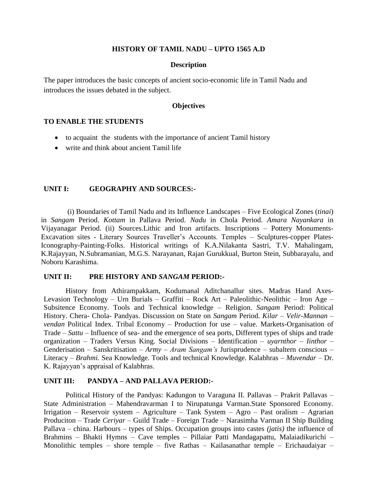#### **HISTORY OF TAMIL NADU – UPTO 1565 A.D**

#### **Description**

The paper introduces the basic concepts of ancient socio-economic life in Tamil Nadu and introduces the issues debated in the subject.

#### **Objectives**

## **TO ENABLE THE STUDENTS**

- to acquaint the students with the importance of ancient Tamil history
- write and think about ancient Tamil life

#### **UNIT I: GEOGRAPHY AND SOURCES:-**

(i) Boundaries of Tamil Nadu and its Influence Landscapes – Five Ecological Zones (*tinai*) in *Sangam* Period. *Kottam* in Pallava Period. *Nadu* in Chola Period. *Amara Nayankara* in Vijayanagar Period. (ii) Sources.Lithic and Iron artifacts. Inscriptions – Pottery Monuments-Excavation sites - Literary Sources Traveller's Accounts. Temples - Sculptures-copper Plates-Iconography-Painting-Folks. Historical writings of K.A.Nilakanta Sastri, T.V. Mahalingam, K.Rajayyan, N.Subramanian, M.G.S. Narayanan, Rajan Gurukkual, Burton Stein, Subbarayalu, and Noboru Karashima.

## **UNIT II: PRE HISTORY AND** *SANGAM* **PERIOD:-**

History from Athirampakkam, Kodumanal Aditchanallur sites. Madras Hand Axes-Levasion Technology – Urn Burials – Graffiti – Rock Art – Paleolithic-Neolithic – Iron Age – Subsitence Economy. Tools and Technical knowledge – Religion. *Sangam* Period: Political History. Chera- Chola- Pandyas. Discussion on State on *Sangam* Period. *Kilar – Velir-Mannan – vendan* Political Index. Tribal Economy – Production for use – value. Markets-Organisation of Trade – *Sattu* – Influence of sea- and the emergence of sea ports, Different types of ships and trade organization – Traders Versus King. Social Divisions – Identification – *uyarnthor – Iinthor* – Genderisation – Sanskritisation – *Army – Aram Sangam's* Jurisprudence – subaltern conscious – Literacy – *Brahmi.* Sea Knowledge. Tools and technical Knowledge. Kalabhras – *Muvendar* – Dr. K. Rajayyan"s appraisal of Kalabhras.

#### **UNIT III: PANDYA – AND PALLAVA PERIOD:-**

Political History of the Pandyas: Kadungon to Varaguna II. Pallavas – Prakrit Pallavas – State Administration – Mahendravarman I to Nirupatunga Varman.State Sponsored Economy. Irrigation – Reservoir system – Agriculture – Tank System – Agro – Past oralism – Agrarian Produciton – Trade *Ceriyar* – Guild Trade – Foreign Trade – Narasimha Varman II Ship Building Pallava – china. Harbours – types of Ships. Occupation groups into castes *(jatis)* the influence of Brahmins – Bhakti Hymns – Cave temples – Pillaiar Patti Mandagapattu, Malaiadikurichi – Monolithic temples – shore temple – five Rathas – Kailasanathar temple – Erichaudaiyar –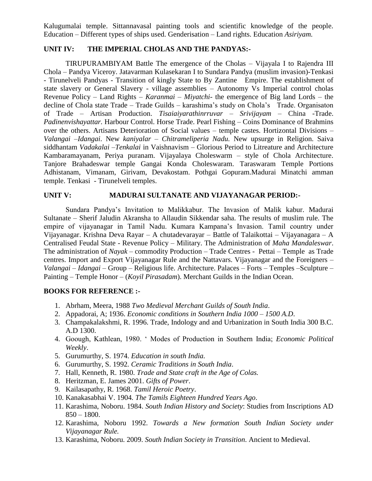Kalugumalai temple. Sittannavasal painting tools and scientific knowledge of the people. Education – Different types of ships used. Genderisation – Land rights. Education *Asiriyam.*

### **UNIT IV: THE IMPERIAL CHOLAS AND THE PANDYAS:-**

TIRUPURAMBIYAM Battle The emergence of the Cholas – Vijayala I to Rajendra III Chola – Pandya Viceroy. Jatavarman Kulasekaran I to Sundara Pandya (muslim invasion)-Tenkasi - Tirunelveli Pandyas - Transition of kingly State to By Zantine Empire. The establishment of state slavery or General Slavery - village assemblies – Autonomy Vs Imperial control cholas Revenue Policy – Land Rights – *Karanmai – Miyatchi-* the emergence of Big land Lords – the decline of Chola state Trade – Trade Guilds – karashima"s study on Chola"s Trade. Organisaton of Trade – Artisan Production. *Tisaiaiyarathinrruvar – Srivijayam* – China -Trade. *Padinenvishayattar.* Harbour Control. Horse Trade. Pearl Fishing – Coins Dominance of Brahmins over the others. Artisans Deterioration of Social values – temple castes. Hortizontal Divisions – *Valangai –Idangai*. New *kaniyalar* – *Chitrameliperia Nadu.* New upsurge in Religion. Saiva siddhantam *Vadakalai –Tenkalai* in Vaishnavism – Glorious Period to Litreature and Architecture Kambaramayanam, Periya puranam. Vijayalaya Choleswarm – style of Chola Architecture. Tanjore Brahadeswar temple Gangai Konda Choleswaram. Taraswaram Temple Portions Adhistanam, Vimanam, Girivam, Devakostam. Pothgai Gopuram.Madurai Minatchi amman temple. Tenkasi - Tirunelveli temples.

## **UNIT V: MADURAI SULTANATE AND VIJAYANAGAR PERIOD:-**

Sundara Pandya"s Invitation to Malikkabur. The Invasion of Malik kabur. Madurai Sultanate – Sherif Jaludin Akransha to Allaudin Sikkendar saha. The results of muslim rule. The empire of vijayanagar in Tamil Nadu. Kumara Kampana"s Invasion. Tamil country under Vijayanagar. Krishna Deva Rayar – A chutadevarayar – Battle of Talaikottai – Vijayanagara – A Centralised Feudal State - Revenue Policy – Military. The Administration of *Maha Mandaleswar*. The administration of *Nayak* – commodity Production – Trade Centres - Pettai – Temple as Trade centres. Import and Export Vijayanagar Rule and the Nattavars. Vijayanagar and the Foreigners – *Valangai – Idangai* – Group – Religious life. Architecture. Palaces – Forts – Temples –Sculpture – Painting – Temple Honor – (*Koyil Pirasadam*). Merchant Guilds in the Indian Ocean.

- 1. Abrham, Meera, 1988 *Two Medieval Merchant Guilds of South India*.
- 2. Appadorai, A; 1936. *Economic conditions in Southern India 1000 – 1500 A.D*.
- 3. Champakalakshmi, R. 1996. Trade, Indology and and Urbanization in South India 300 B.C. A.D 1300.
- 4. Goough, Kathlean, 1980. " Modes of Production in Southern India; *Economic Political Weekly*.
- 5. Gurumurthy, S. 1974. *Education in south India.*
- 6. Gurumurthy, S. 1992*. Ceramic Traditions in South India*.
- 7. Hall, Kenneth, R. 1980. *Trade and State craft in the Age of Colas.*
- 8. Heritzman, E. James 2001. *Gifts of Power*.
- 9. Kailasapathy, R. 1968. *Tamil Heroic Poetry*.
- 10. Kanakasabhai V. 1904*. The Tamils Eighteen Hundred Years Ago*.
- 11. Karashima, Noboru. 1984. *South Indian History and Society*: Studies from Inscriptions AD  $850 - 1800.$
- 12. Karashima, Noboru 1992. *Towards a New formation South Indian Society under Vijayanagar Rule.*
- 13. Karashima, Noboru. 2009. *South Indian Society in Transition*. Ancient to Medieval.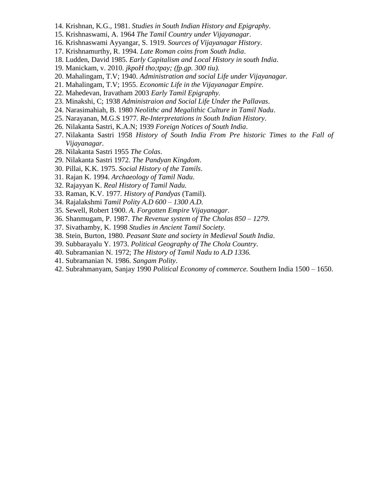- 14. Krishnan, K.G., 1981. *Studies in South Indian History and Epigraphy*.
- 15. Krishnaswami, A. 1964 *The Tamil Country under Vijayanagar*.
- 16. Krishnaswami Ayyangar, S. 1919. *Sources of Vijayanagar History*.
- 17. Krishnamurthy, R. 1994. *Late Roman coins from South India*.
- 18. Ludden, David 1985. *Early Capitalism and Local History in south India*.
- 19. Manickam, v. 2010. *jkpoH tho;tpay; (fp.gp. 300 tiu).*
- 20. Mahalingam, T.V; 1940. *Administration and social Life under Vijayanagar.*
- 21. Mahalingam, T.V; 1955. *Economic Life in the Vijayanagar Empire.*
- 22. Mahedevan, Iravatham 2003 *Early Tamil Epigraphy.*
- 23. Minakshi, C; 1938 *Administraion and Social Life Under the Pallavas*.
- 24. Narasimahiah, B. 1980 *Neolithc and Megalithic Culture in Tamil Nadu*.
- 25. Narayanan, M.G.S 1977*. Re-Interpretations in South Indian History*.
- 26. Nilakanta Sastri, K.A.N; 1939 *Foreign Notices of South India*.
- 27. Nilakanta Sastri 1958 *History of South India From Pre historic Times to the Fall of Vijayanagar*.
- 28. Nilakanta Sastri 1955 *The Colas*.
- 29. Nilakanta Sastri 1972. *The Pandyan Kingdom*.
- 30. Pillai, K.K. 1975. *Social History of the Tamils*.
- 31. Rajan K. 1994. *Archaeology of Tamil Nadu*.
- 32. Rajayyan K. *Real History of Tamil Nadu.*
- 33. Raman, K.V. 1977*. History of Pandyas* (Tamil).
- 34. Rajalakshmi *Tamil Polity A.D 600 – 1300 A.D.*
- 35. Sewell, Robert 1900. *A. Forgotten Empire Vijayanagar*.
- 36. Shanmugam, P. 1987. *The Revenue system of The Cholas 850 – 1279*.
- 37. Sivathamby, K. 1998 *Studies in Ancient Tamil Society.*
- 38. Stein, Burton, 1980. *Peasant State and society in Medieval South India*.
- 39. Subbarayalu Y. 1973. *Political Geography of The Chola Country*.
- 40. Subramanian N. 1972; *The History of Tamil Nadu to A.D 1336.*
- 41. Subramanian N. 1986. *Sangam Polity*.
- 42. Subrahmanyam, Sanjay 1990 *Political Economy of commerce.* Southern India 1500 1650.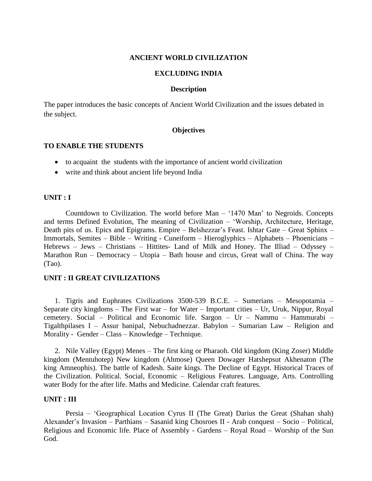#### **ANCIENT WORLD CIVILIZATION**

#### **EXCLUDING INDIA**

#### **Description**

The paper introduces the basic concepts of Ancient World Civilization and the issues debated in the subject.

#### **Objectives**

#### **TO ENABLE THE STUDENTS**

- to acquaint the students with the importance of ancient world civilization
- write and think about ancient life beyond India

#### **UNIT : I**

Countdown to Civilization. The world before Man – "1470 Man" to Negroids. Concepts and terms Defined Evolution, The meaning of Civilization – "Worship, Architecture, Heritage, Death pits of us. Epics and Epigrams. Empire – Belshezzar's Feast. Ishtar Gate – Great Sphinx – Immortals, Semites – Bible – Writing - Cuneiform – Hieroglyphics – Alphabets – Phoenicians – Hebrews – Jews – Christians – Hittites- Land of Milk and Honey. The Illiad – Odyssey – Marathon Run – Democracy – Utopia – Bath house and circus, Great wall of China. The way (Tao).

## **UNIT : II GREAT CIVILIZATIONS**

1. Tigris and Euphrates Civilizations 3500-539 B.C.E. – Sumerians – Mesopotamia – Separate city kingdoms – The First war – for Water – Important cities – Ur, Uruk, Nippur, Royal cemetery. Social – Political and Economic life. Sargon – Ur – Nammu – Hammurabi – Tigalthpilases I – Assur banipal, Nebuchadnezzar. Babylon – Sumarian Law – Religion and Morality - Gender – Class – Knowledge – Technique.

2. Nile Valley (Egypt) Menes – The first king or Pharaoh. Old kingdom (King Zoser) Middle kingdom (Mentuhotep) New kingdom (Ahmose) Queen Dowager Hatshepsut Akhenaton (The king Amneophis). The battle of Kadesh. Saite kings. The Decline of Egypt. Historical Traces of the Civilization. Political. Social, Economic – Religious Features. Language, Arts. Controlling water Body for the after life. Maths and Medicine. Calendar craft features.

#### **UNIT : III**

Persia – "Geographical Location Cyrus II (The Great) Darius the Great (Shahan shah) Alexander"s Invasion – Parthians – Sasanid king Chosroes II - Arab conquest – Socio – Political, Religious and Economic life. Place of Assembly - Gardens – Royal Road – Worship of the Sun God.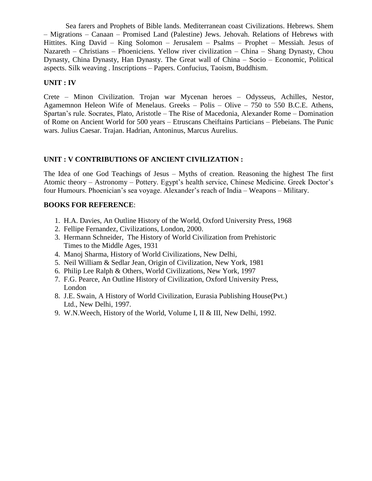Sea farers and Prophets of Bible lands. Mediterranean coast Civilizations. Hebrews. Shem – Migrations – Canaan – Promised Land (Palestine) Jews. Jehovah. Relations of Hebrews with Hittites. King David – King Solomon – Jerusalem – Psalms – Prophet – Messiah. Jesus of Nazareth – Christians – Phoeniciens. Yellow river civilization – China – Shang Dynasty, Chou Dynasty, China Dynasty, Han Dynasty. The Great wall of China – Socio – Economic, Political aspects. Silk weaving . Inscriptions – Papers. Confucius, Taoism, Buddhism.

## **UNIT : IV**

Crete – Minon Civilization. Trojan war Mycenan heroes – Odysseus, Achilles, Nestor, Agamemnon Heleon Wife of Menelaus. Greeks – Polis – Olive – 750 to 550 B.C.E. Athens, Spartan"s rule. Socrates, Plato, Aristotle – The Rise of Macedonia, Alexander Rome – Domination of Rome on Ancient World for 500 years – Etruscans Cheiftains Particians – Plebeians. The Punic wars. Julius Caesar. Trajan. Hadrian, Antoninus, Marcus Aurelius.

## **UNIT : V CONTRIBUTIONS OF ANCIENT CIVILIZATION :**

The Idea of one God Teachings of Jesus – Myths of creation. Reasoning the highest The first Atomic theory – Astronomy – Pottery. Egypt's health service, Chinese Medicine. Greek Doctor's four Humours. Phoenician"s sea voyage. Alexander"s reach of India – Weapons – Military.

- 1. H.A. Davies, An Outline History of the World, Oxford University Press, 1968
- 2. Fellipe Fernandez, Civilizations, London, 2000.
- 3. Hermann Schneider, The History of World Civilization from Prehistoric Times to the Middle Ages, 1931
- 4. Manoj Sharma, History of World Civilizations, New Delhi,
- 5. Neil William & Sedlar Jean, Origin of Civilization, New York, 1981
- 6. Philip Lee Ralph & Others, World Civilizations, New York, 1997
- 7. F.G. Pearce, An Outline History of Civilization, Oxford University Press, London
- 8. J.E. Swain, A History of World Civilization, Eurasia Publishing House(Pvt.) Ltd., New Delhi, 1997.
- 9. W.N.Weech, History of the World, Volume I, II & III, New Delhi, 1992.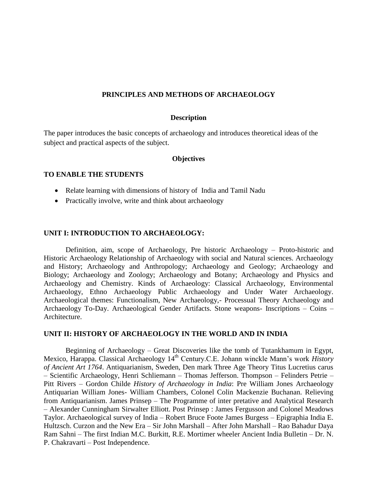#### **PRINCIPLES AND METHODS OF ARCHAEOLOGY**

#### **Description**

The paper introduces the basic concepts of archaeology and introduces theoretical ideas of the subject and practical aspects of the subject.

#### **Objectives**

#### **TO ENABLE THE STUDENTS**

- Relate learning with dimensions of history of India and Tamil Nadu
- Practically involve, write and think about archaeology

#### **UNIT I: INTRODUCTION TO ARCHAEOLOGY:**

Definition, aim, scope of Archaeology, Pre historic Archaeology – Proto-historic and Historic Archaeology Relationship of Archaeology with social and Natural sciences. Archaeology and History; Archaeology and Anthropology; Archaeology and Geology; Archaeology and Biology; Archaeology and Zoology; Archaeology and Botany; Archaeology and Physics and Archaeology and Chemistry. Kinds of Archaeology: Classical Archaeology, Environmental Archaeology, Ethno Archaeology Public Archaeology and Under Water Archaeology. Archaeological themes: Functionalism, New Archaeology,- Processual Theory Archaeology and Archaeology To-Day. Archaeological Gender Artifacts. Stone weapons- Inscriptions – Coins – Architecture.

#### **UNIT II: HISTORY OF ARCHAEOLOGY IN THE WORLD AND IN INDIA**

Beginning of Archaeology – Great Discoveries like the tomb of Tutankhamum in Egypt, Mexico, Harappa. Classical Archaeology 14<sup>th</sup> Century.C.E. Johann winckle Mann's work *History of Ancient Art 1764*. Antiquarianism, Sweden, Den mark Three Age Theory Titus Lucretius carus – Scientific Archaeology, Henri Schliemann – Thomas Jefferson. Thompson – Felinders Petrie – Pitt Rivers – Gordon Childe *History of Archaeology in India*: Pre William Jones Archaeology Antiquarian William Jones- William Chambers, Colonel Colin Mackenzie Buchanan. Relieving from Antiquarianism. James Prinsep – The Programme of inter pretative and Analytical Research – Alexander Cunningham Sirwalter Elliott. Post Prinsep : James Fergusson and Colonel Meadows Taylor. Archaeological survey of India – Robert Bruce Foote James Burgess – Epigraphia India E. Hultzsch. Curzon and the New Era – Sir John Marshall – After John Marshall – Rao Bahadur Daya Ram Sahni – The first Indian M.C. Burkitt, R.E. Mortimer wheeler Ancient India Bulletin – Dr. N. P. Chakravarti – Post Independence.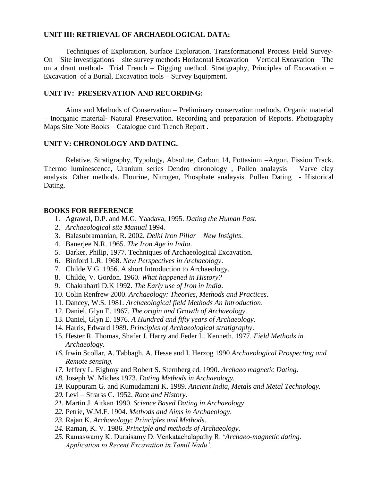#### **UNIT III: RETRIEVAL OF ARCHAEOLOGICAL DATA:**

Techniques of Exploration, Surface Exploration. Transformational Process Field Survey-On – Site investigations – site survey methods Horizontal Excavation – Vertical Excavation – The on a drant method- Trial Trench – Digging method. Stratigraphy, Principles of Excavation – Excavation of a Burial, Excavation tools – Survey Equipment.

#### **UNIT IV: PRESERVATION AND RECORDING:**

Aims and Methods of Conservation – Preliminary conservation methods. Organic material – Inorganic material- Natural Preservation. Recording and preparation of Reports. Photography Maps Site Note Books – Catalogue card Trench Report .

#### **UNIT V: CHRONOLOGY AND DATING.**

Relative, Stratigraphy, Typology, Absolute, Carbon 14, Pottasium –Argon, Fission Track. Thermo luminescence, Uranium series Dendro chronology , Pollen analaysis – Varve clay analysis. Other methods. Flourine, Nitrogen, Phosphate analaysis. Pollen Dating - Historical Dating.

- 1. Agrawal, D.P. and M.G. Yaadava, 1995. *Dating the Human Past.*
- 2. *Archaeological site Manual* 1994.
- 3. Balasubramanian, R. 2002. *Delhi Iron Pillar – New Insights*.
- 4. Banerjee N.R. 1965. *The Iron Age in India*.
- 5. Barker, Philip, 1977. Techniques of Archaeological Excavation.
- 6. Binford L.R. 1968. *New Perspectives in Archaeology*.
- 7. Childe V.G. 1956. A short Introduction to Archaeology.
- 8. Childe, V. Gordon. 1960*. What happened in History?*
- 9. Chakrabarti D.K 1992. *The Early use of Iron in India*.
- 10. Colin Renfrew 2000. *Archaeology: Theories, Methods and Practices*.
- 11. Dancey, W.S. 1981*. Archaeological field Methods An Introduction*.
- 12. Daniel, Glyn E. 1967. *The origin and Growth of Archaeology*.
- 13. Daniel, Glyn E. 1976. *A Hundred and fifty years of Archaeology*.
- 14. Harris, Edward 1989. *Principles of Archaeological stratigraphy*.
- 15. Hester R. Thomas, Shafer J. Harry and Feder L. Kenneth. 1977. *Field Methods in Archaeology*.
- *16.* Irwin Scollar, A. Tabbagh, A. Hesse and I. Herzog 1990 *Archaeological Prospecting and Remote sensing.*
- *17.* Jeffery L. Eighmy and Robert S. Sternberg ed. 1990. *Archaeo magnetic Dating*.
- *18.* Joseph W. Miches 1973. *Dating Methods in Archaeology.*
- *19.* Kuppuram G. and Kumudamani K. 1989. *Ancient India, Metals and Metal Technology.*
- *20.* Levi Strarss C. 1952. *Race and History.*
- *21.* Martin J. Aitkan 1990. *Science Based Dating in Archaeology*.
- *22.* Petrie, W.M.F. 1904. *Methods and Aims in Archaeology*.
- *23.* Rajan K. *Archaeology: Principles and Methods*.
- *24.* Raman, K. V. 1986. *Principle and methods of Archaeology*.
- *25.* Ramaswamy K. Duraisamy D. Venkatachalapathy R. "*Archaeo-magnetic dating. Application to Recent Excavation in Tamil Nadu'.*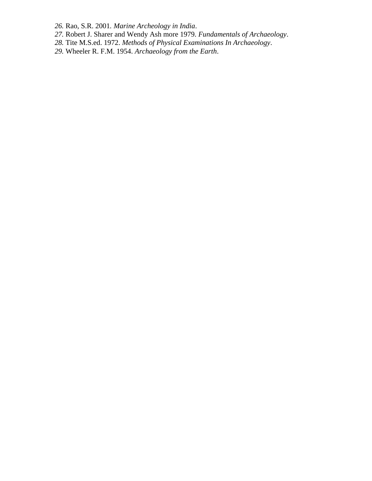*26.* Rao, S.R. 2001*. Marine Archeology in India*.

- *27.* Robert J. Sharer and Wendy Ash more 1979. *Fundamentals of Archaeology*.
- *28.* Tite M.S.ed. 1972. *Methods of Physical Examinations In Archaeology*.
- *29.* Wheeler R. F.M. 1954. *Archaeology from the Earth*.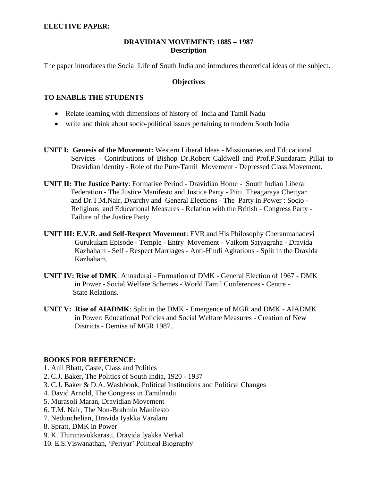#### **ELECTIVE PAPER:**

### **DRAVIDIAN MOVEMENT: 1885 – 1987 Description**

The paper introduces the Social Life of South India and introduces theoretical ideas of the subject.

#### **Objectives**

#### **TO ENABLE THE STUDENTS**

- Relate learning with dimensions of history of India and Tamil Nadu
- write and think about socio-political issues pertaining to modern South India
- **UNIT I: Genesis of the Movement:** Western Liberal Ideas Missionaries and Educational Services - Contributions of Bishop Dr.Robert Caldwell and Prof.P.Sundaram Pillai to Dravidian identity - Role of the Pure-Tamil Movement - Depressed Class Movement.
- **UNIT II: The Justice Party**: Formative Period Dravidian Home South Indian Liberal Federation - The Justice Manifesto and Justice Party - Pitti Theagaraya Chettyar and Dr.T.M.Nair, Dyarchy and General Elections - The Party in Power : Socio - Religious and Educational Measures - Relation with the British - Congress Party - Failure of the Justice Party.
- **UNIT III: E.V.R. and Self-Respect Movement**: EVR and His Philosophy Cheranmahadevi Gurukulam Episode - Temple - Entry Movement - Vaikom Satyagraha - Dravida Kazhaham - Self - Respect Marriages - Anti-Hindi Agitations - Split in the Dravida Kazhaham.
- **UNIT IV: Rise of DMK**: Annadurai Formation of DMK General Election of 1967 DMK in Power - Social Welfare Schemes - World Tamil Conferences - Centre - State Relations.
- **UNIT V: Rise of AIADMK**: Split in the DMK Emergence of MGR and DMK AIADMK in Power: Educational Policies and Social Welfare Measures - Creation of New Districts - Demise of MGR 1987.

- 1. Anil Bhatt, Caste, Class and Politics
- 2. C.J. Baker, The Politics of South India, 1920 1937
- 3. C.J. Baker & D.A. Washbook, Political Institutions and Political Changes
- 4. David Arnold, The Congress in Tamilnadu
- 5. Murasoli Maran, Dravidian Movement
- 6. T.M. Nair, The Non-Brahmin Manifesto
- 7. Nedunchelian, Dravida Iyakka Varalaru
- 8. Spratt, DMK in Power
- 9. K. Thirunavukkarasu, Dravida Iyakka Verkal
- 10. E.S.Viswanathan, "Periyar" Political Biography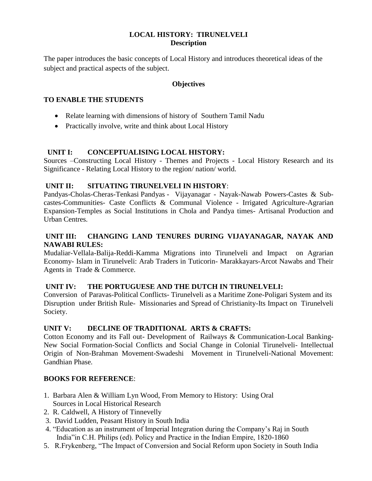## **LOCAL HISTORY: TIRUNELVELI Description**

The paper introduces the basic concepts of Local History and introduces theoretical ideas of the subject and practical aspects of the subject.

## **Objectives**

## **TO ENABLE THE STUDENTS**

- Relate learning with dimensions of history of Southern Tamil Nadu
- Practically involve, write and think about Local History

## **UNIT I: CONCEPTUALISING LOCAL HISTORY:**

Sources –Constructing Local History - Themes and Projects - Local History Research and its Significance - Relating Local History to the region/ nation/ world.

## **UNIT II: SITUATING TIRUNELVELI IN HISTORY**:

Pandyas-Cholas-Cheras-Tenkasi Pandyas - Vijayanagar - Nayak-Nawab Powers-Castes & Subcastes-Communities- Caste Conflicts & Communal Violence - Irrigated Agriculture-Agrarian Expansion-Temples as Social Institutions in Chola and Pandya times- Artisanal Production and Urban Centres.

## **UNIT III: CHANGING LAND TENURES DURING VIJAYANAGAR, NAYAK AND NAWABI RULES:**

Mudaliar-Vellala-Balija-Reddi-Kamma Migrations into Tirunelveli and Impact on Agrarian Economy- Islam in Tirunelveli: Arab Traders in Tuticorin- Marakkayars-Arcot Nawabs and Their Agents in Trade & Commerce.

#### **UNIT IV: THE PORTUGUESE AND THE DUTCH IN TIRUNELVELI:**

Conversion of Paravas-Political Conflicts- Tirunelveli as a Maritime Zone-Poligari System and its Disruption under British Rule- Missionaries and Spread of Christianity-Its Impact on Tirunelveli Society.

#### **UNIT V: DECLINE OF TRADITIONAL ARTS & CRAFTS:**

Cotton Economy and its Fall out- Development of Railways & Communication-Local Banking-New Social Formation-Social Conflicts and Social Change in Colonial Tirunelveli- Intellectual Origin of Non-Brahman Movement-Swadeshi Movement in Tirunelveli-National Movement: Gandhian Phase.

- 1. Barbara Alen & William Lyn Wood, From Memory to History: Using Oral Sources in Local Historical Research
- 2. R. Caldwell, A History of Tinnevelly
- 3. David Ludden, Peasant History in South India
- 4. "Education as an instrument of Imperial Integration during the Company"s Raj in South India"in C.H. Philips (ed). Policy and Practice in the Indian Empire, 1820-1860
- 5. R.Frykenberg, "The Impact of Conversion and Social Reform upon Society in South India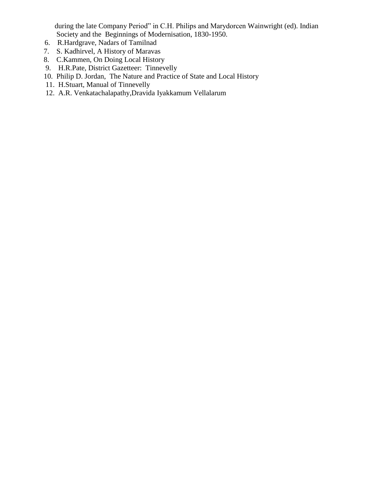during the late Company Period" in C.H. Philips and Marydorcen Wainwright (ed). Indian Society and the Beginnings of Modernisation, 1830-1950.

- 6. R.Hardgrave, Nadars of Tamilnad
- 7. S. Kadhirvel, A History of Maravas
- 8. C.Kammen, On Doing Local History
- 9. H.R.Pate, District Gazetteer: Tinnevelly
- 10. Philip D. Jordan, The Nature and Practice of State and Local History
- 11. H.Stuart, Manual of Tinnevelly
- 12. A.R. Venkatachalapathy,Dravida Iyakkamum Vellalarum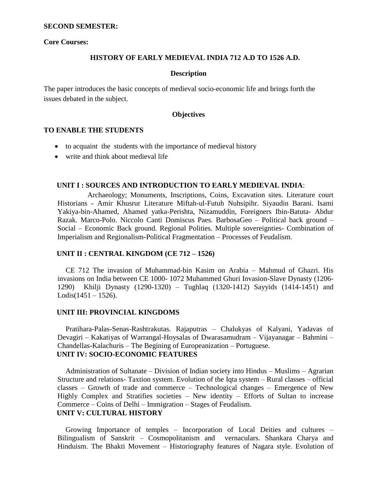#### **SECOND SEMESTER:**

#### **Core Courses:**

#### **HISTORY OF EARLY MEDIEVAL INDIA 712 A.D TO 1526 A.D.**

#### **Description**

The paper introduces the basic concepts of medieval socio-economic life and brings forth the issues debated in the subject.

#### **Objectives**

#### **TO ENABLE THE STUDENTS**

- to acquaint the students with the importance of medieval history
- write and think about medieval life

#### **UNIT I : SOURCES AND INTRODUCTION TO EARLY MEDIEVAL INDIA**:

Archaeology; Monuments, Inscriptions, Coins, Excavation sites. Literature court Historians - Amir Khusrur Literature Miftah-ul-Futuh Nuhsipihr. Siyaudin Barani. Isami Yakiya-bin-Ahamed, Ahamed yatka-Perishta, Nizamuddin, Foreigners Ibin-Batuta- Abdur Razak. Marco-Polo. Niccolo Canti Domiscus Paes. BarbosaGeo – Political back ground – Social – Economic Back ground. Regional Polities. Multiple sovereignties- Combination of Imperialism and Regionalism-Political Fragmentation – Processes of Feudalism.

### **UNIT II : CENTRAL KINGDOM (CE 712 – 1526)**

CE 712 The invasion of Muhammad-bin Kasim on Arabia – Mahmud of Ghazri. His invasions on India between CE 1000- 1072 Muhammed Ghuri Invasion-Slave Dynasty (1206- 1290) Khilji Dynasty (1290-1320) – Tughlaq (1320-1412) Sayyids (1414-1451) and  $Lodis(1451 - 1526).$ 

#### **UNIT III: PROVINCIAL KINGDOMS**

Pratihara-Palas-Senas-Rashtrakutas. Rajaputras – Chalukyas of Kalyani, Yadavas of Devagiri – Kakatiyas of Warrangal-Hoysalas of Dwarasamudram – Vijayanagar – Bahmini – Chandellas-Kalachuris – The Begining of Europeanization – Portuguese. **UNIT IV: SOCIO-ECONOMIC FEATURES**

Administration of Sultanate – Division of Indian society into Hindus – Muslims – Agrarian Structure and relations- Taxtion system. Evolution of the Iqta system – Rural classes – official classes – Growth of trade and commerce – Technological changes – Emergence of New Highly Complex and Stratifies societies – New identity – Efforts of Sultan to increase Commerce – Coins of Delhi – Immigration – Stages of Feudalism.

## **UNIT V: CULTURAL HISTORY**

Growing Importance of temples – Incorporation of Local Deities and cultures – Bilingualism of Sanskrit – Cosmopolitanism and vernaculars. Shankara Charya and Hinduism. The Bhakti Movement – Historiography features of Nagara style. Evolution of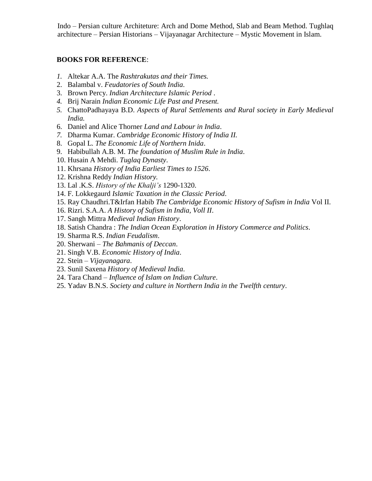Indo – Persian culture Architeture: Arch and Dome Method, Slab and Beam Method. Tughlaq architecture – Persian Historians – Vijayanagar Architecture – Mystic Movement in Islam.

- *1.* Altekar A.A. The *Rashtrakutas and their Times.*
- 2. Balambal v. *Feudatories of South India.*
- 3. Brown Percy. *Indian Architecture Islamic Period* .
- *4.* Brij Narain *Indian Economic Life Past and Present.*
- *5.* ChattoPadhayaya B.D. *Aspects of Rural Settlements and Rural society in Early Medieval India.*
- 6. Daniel and Alice Thorner *Land and Labour in India*.
- *7.* Dharma Kumar. *Cambridge Economic History of India II.*
- 8. Gopal L. *The Economic Life of Northern Inida*.
- 9. Habibullah A.B. M. *The foundation of Muslim Rule in India*.
- 10. Husain A Mehdi. *Tuglaq Dynasty*.
- 11. Khrsana *History of India Earliest Times to 1526*.
- 12. Krishna Reddy *Indian History.*
- 13. Lal .K.S. *History of the Khalji's* 1290-1320.
- 14. F. Lokkegaurd *Islamic Taxation in the Classic Period*.
- 15. Ray Chaudhri.T&Irfan Habib *The Cambridge Economic History of Sufism in India* Vol II.
- 16. Rizri. S.A.A. *A History of Sufism in India, Voll II*.
- 17. Sangh Mittra *Medieval Indian History*.
- 18. Satish Chandra : *The Indian Ocean Exploration in History Commerce and Politics*.
- 19. Sharma R.S. *Indian Feudalism*.
- 20. Sherwani *The Bahmanis of Deccan*.
- 21. Singh V.B. *Economic History of India*.
- 22. Stein *Vijayanagara*.
- 23. Sunil Saxena *History of Medieval India*.
- 24. Tara Chand *Influence of Islam on Indian Culture*.
- 25. Yadav B.N.S. *Society and culture in Northern India in the Twelfth century*.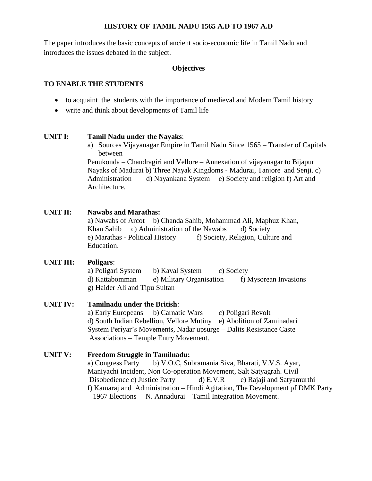### **HISTORY OF TAMIL NADU 1565 A.D TO 1967 A.D**

The paper introduces the basic concepts of ancient socio-economic life in Tamil Nadu and introduces the issues debated in the subject.

## **Objectives**

## **TO ENABLE THE STUDENTS**

- to acquaint the students with the importance of medieval and Modern Tamil history
- write and think about developments of Tamil life

## **UNIT I: Tamil Nadu under the Nayaks**:

a) Sources Vijayanagar Empire in Tamil Nadu Since 1565 – Transfer of Capitals between

Penukonda – Chandragiri and Vellore – Annexation of vijayanagar to Bijapur Nayaks of Madurai b) Three Nayak Kingdoms - Madurai, Tanjore and Senji. c) Administration d) Nayankana System e) Society and religion f) Art and Architecture.

## **UNIT II: Nawabs and Marathas:**

a) Nawabs of Arcot b) Chanda Sahib, Mohammad Ali, Maphuz Khan, Khan Sahib c) Administration of the Nawabs d) Society e) Marathas - Political History f) Society, Religion, Culture and Education.

## **UNIT III: Poligars**:

a) Poligari System b) Kaval System c) Society d) Kattabomman e) Military Organisation f) Mysorean Invasions g) Haider Ali and Tipu Sultan

## **UNIT IV: Tamilnadu under the British**:

a) Early Europeans b) Carnatic Wars c) Poligari Revolt d) South Indian Rebellion, Vellore Mutiny e) Abolition of Zaminadari System Periyar"s Movements, Nadar upsurge – Dalits Resistance Caste Associations – Temple Entry Movement.

## **UNIT V: Freedom Struggle in Tamilnadu:**

a) Congress Party b) V.O.C, Subramania Siva, Bharati, V.V.S. Ayar, Maniyachi Incident, Non Co-operation Movement, Salt Satyagrah. Civil Disobedience c) Justice Party d) E.V.R e) Rajaji and Satyamurthi f) Kamaraj and Administration – Hindi Agitation, The Development pf DMK Party – 1967 Elections – N. Annadurai – Tamil Integration Movement.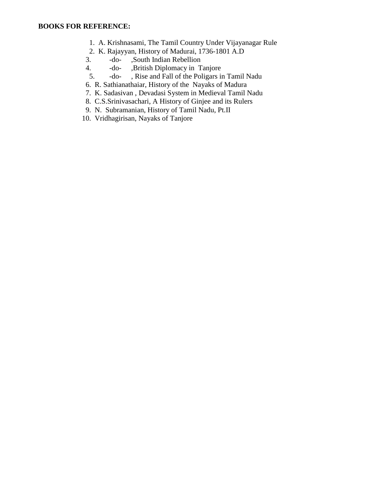- 1. A. Krishnasami, The Tamil Country Under Vijayanagar Rule
- 2. K. Rajayyan, History of Madurai, 1736-1801 A.D
- 3. -do- ,South Indian Rebellion
- 4. -do- ,British Diplomacy in Tanjore
- 5. -do- , Rise and Fall of the Poligars in Tamil Nadu
- 6. R. Sathianathaiar, History of the Nayaks of Madura
- 7. K. Sadasivan , Devadasi System in Medieval Tamil Nadu
- 8. C.S.Srinivasachari, A History of Ginjee and its Rulers
- 9. N. Subramanian, History of Tamil Nadu, Pt.II
- 10. Vridhagirisan, Nayaks of Tanjore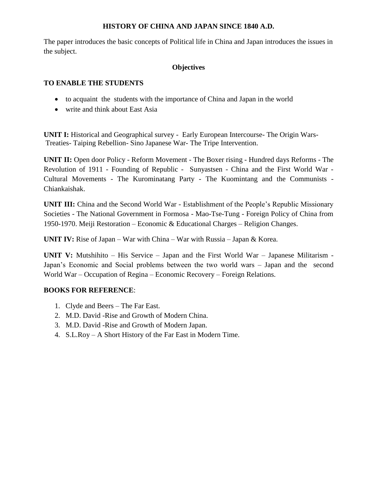## **HISTORY OF CHINA AND JAPAN SINCE 1840 A.D.**

The paper introduces the basic concepts of Political life in China and Japan introduces the issues in the subject.

## **Objectives**

## **TO ENABLE THE STUDENTS**

- to acquaint the students with the importance of China and Japan in the world
- write and think about East Asia

**UNIT I:** Historical and Geographical survey - Early European Intercourse- The Origin Wars-Treaties- Taiping Rebellion- Sino Japanese War- The Tripe Intervention.

**UNIT II:** Open door Policy - Reform Movement - The Boxer rising - Hundred days Reforms - The Revolution of 1911 - Founding of Republic - Sunyastsen - China and the First World War - Cultural Movements - The Kurominatang Party - The Kuomintang and the Communists - Chiankaishak.

**UNIT III:** China and the Second World War - Establishment of the People"s Republic Missionary Societies - The National Government in Formosa - Mao-Tse-Tung - Foreign Policy of China from 1950-1970. Meiji Restoration – Economic & Educational Charges – Religion Changes.

**UNIT IV:** Rise of Japan – War with China – War with Russia – Japan & Korea.

**UNIT V:** Mutshihito – His Service – Japan and the First World War – Japanese Militarism - Japan"s Economic and Social problems between the two world wars – Japan and the second World War – Occupation of Regina – Economic Recovery – Foreign Relations.

- 1. Clyde and Beers The Far East.
- 2. M.D. David -Rise and Growth of Modern China.
- 3. M.D. David -Rise and Growth of Modern Japan.
- 4. S.L.Roy A Short History of the Far East in Modern Time.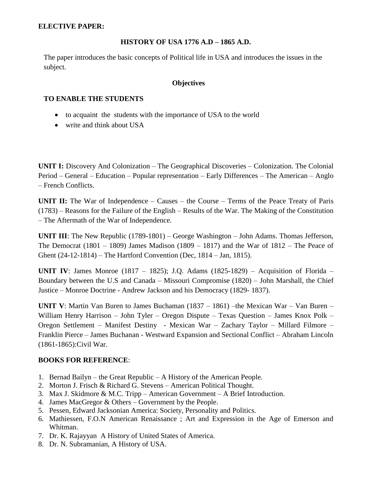### **ELECTIVE PAPER:**

## **HISTORY OF USA 1776 A.D – 1865 A.D.**

The paper introduces the basic concepts of Political life in USA and introduces the issues in the subject.

### **Objectives**

## **TO ENABLE THE STUDENTS**

- to acquaint the students with the importance of USA to the world
- write and think about USA

**UNIT I:** Discovery And Colonization – The Geographical Discoveries – Colonization. The Colonial Period – General – Education – Popular representation – Early Differences – The American – Anglo – French Conflicts.

**UNIT II:** The War of Independence – Causes – the Course – Terms of the Peace Treaty of Paris (1783) – Reasons for the Failure of the English – Results of the War. The Making of the Constitution – The Aftermath of the War of Independence.

**UNIT III**: The New Republic (1789-1801) – George Washington – John Adams. Thomas Jefferson, The Democrat  $(1801 - 1809)$  James Madison  $(1809 - 1817)$  and the War of  $1812$  – The Peace of Ghent (24-12-1814) – The Hartford Convention (Dec, 1814 – Jan, 1815).

**UNIT IV**: James Monroe (1817 – 1825); J.Q. Adams (1825-1829) – Acquisition of Florida – Boundary between the U.S and Canada – Missouri Compromise (1820) – John Marshall, the Chief Justice – Monroe Doctrine - Andrew Jackson and his Democracy (1829- 1837).

**UNIT V**: Martin Van Buren to James Buchaman (1837 – 1861) –the Mexican War – Van Buren – William Henry Harrison – John Tyler – Oregon Dispute – Texas Question – James Knox Polk – Oregon Settlement – Manifest Destiny - Mexican War – Zachary Taylor – Millard Filmore – Franklin Pierce – James Buchanan - Westward Expansion and Sectional Conflict – Abraham Lincoln (1861-1865):Civil War.

- 1. Bernad Bailyn the Great Republic A History of the American People.
- 2. Morton J. Frisch & Richard G. Stevens American Political Thought.
- 3. Max J. Skidmore & M.C. Tripp American Government A Brief Introduction.
- 4. James MacGregor & Others Government by the People.
- 5. Pessen, Edward Jacksonian America: Society, Personality and Politics.
- 6. Mathiessen, F.O.N American Renaissance ; Art and Expression in the Age of Emerson and Whitman.
- 7. Dr. K. Rajayyan A History of United States of America.
- 8. Dr. N. Subramanian, A History of USA.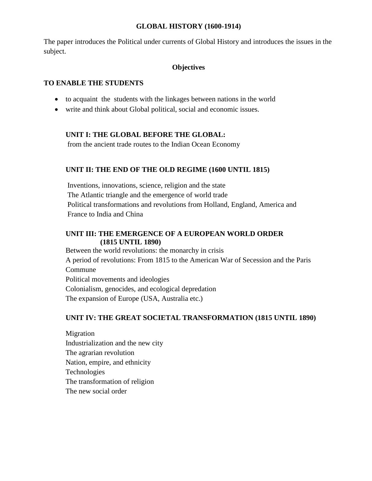#### **GLOBAL HISTORY (1600-1914)**

The paper introduces the Political under currents of Global History and introduces the issues in the subject.

## **Objectives**

## **TO ENABLE THE STUDENTS**

- to acquaint the students with the linkages between nations in the world
- write and think about Global political, social and economic issues.

## **UNIT I: THE GLOBAL BEFORE THE GLOBAL:**

from the ancient trade routes to the Indian Ocean Economy

## **UNIT II: THE END OF THE OLD REGIME (1600 UNTIL 1815)**

Inventions, innovations, science, religion and the state The Atlantic triangle and the emergence of world trade Political transformations and revolutions from Holland, England, America and France to India and China

## **UNIT III: THE EMERGENCE OF A EUROPEAN WORLD ORDER (1815 UNTIL 1890)**

Between the world revolutions: the monarchy in crisis A period of revolutions: From 1815 to the American War of Secession and the Paris Commune Political movements and ideologies Colonialism, genocides, and ecological depredation The expansion of Europe (USA, Australia etc.)

## **UNIT IV: THE GREAT SOCIETAL TRANSFORMATION (1815 UNTIL 1890)**

Migration Industrialization and the new city The agrarian revolution Nation, empire, and ethnicity Technologies The transformation of religion The new social order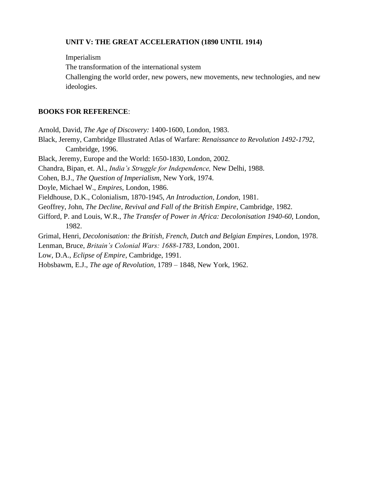### **UNIT V: THE GREAT ACCELERATION (1890 UNTIL 1914)**

Imperialism The transformation of the international system Challenging the world order, new powers, new movements, new technologies, and new ideologies.

#### **BOOKS FOR REFERENCE**:

Arnold, David, *The Age of Discovery:* 1400-1600, London, 1983.

Black, Jeremy, Cambridge Illustrated Atlas of Warfare: *Renaissance to Revolution 1492-1792,* Cambridge, 1996.

Black, Jeremy, Europe and the World: 1650-1830, London, 2002.

Chandra, Bipan, et. Al., *India's Struggle for Independence,* New Delhi, 1988.

Cohen, B.J., *The Question of Imperialism*, New York, 1974.

Doyle, Michael W., *Empires,* London, 1986.

Fieldhouse, D.K., Colonialism, 1870-1945, *An Introduction, London*, 1981.

Geoffrey, John, *The Decline, Revival and Fall of the British Empire*, Cambridge, 1982.

Gifford, P. and Louis, W.R., *The Transfer of Power in Africa: Decolonisation 1940-60*, London, 1982.

Grimal, Henri, *Decolonisation: the British, French, Dutch and Belgian Empires*, London, 1978. Lenman, Bruce, *Britain's Colonial Wars: 1688-1783*, London, 2001.

Low, D.A., *Eclipse of Empire*, Cambridge, 1991.

Hobsbawm, E.J., *The age of Revolution*, 1789 – 1848, New York, 1962.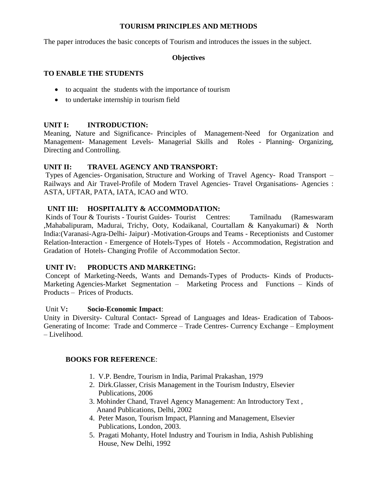### **TOURISM PRINCIPLES AND METHODS**

The paper introduces the basic concepts of Tourism and introduces the issues in the subject.

## **Objectives**

## **TO ENABLE THE STUDENTS**

- to acquaint the students with the importance of tourism
- to undertake internship in tourism field

## **UNIT I: INTRODUCTION:**

Meaning, Nature and Significance- Principles of Management-Need for Organization and Management- Management Levels- Managerial Skills and Roles - Planning- Organizing, Directing and Controlling.

## **UNIT II: TRAVEL AGENCY AND TRANSPORT:**

Types of Agencies- Organisation, Structure and Working of Travel Agency- Road Transport – Railways and Air Travel-Profile of Modern Travel Agencies- Travel Organisations- Agencies : ASTA, UFTAR, PATA, IATA, ICAO and WTO.

## **UNIT III: HOSPITALITY & ACCOMMODATION:**

Kinds of Tour & Tourists - Tourist Guides- Tourist Centres: Tamilnadu (Rameswaram ,Mahabalipuram, Madurai, Trichy, Ooty, Kodaikanal, Courtallam & Kanyakumari) & North India:(Varanasi-Agra-Delhi- Jaipur) -Motivation-Groups and Teams - Receptionists and Customer Relation-Interaction - Emergence of Hotels-Types of Hotels - Accommodation, Registration and Gradation of Hotels- Changing Profile of Accommodation Sector.

## **UNIT IV: PRODUCTS AND MARKETING:**

Concept of Marketing-Needs, Wants and Demands-Types of Products- Kinds of Products-Marketing Agencies-Market Segmentation – Marketing Process and Functions – Kinds of Products – Prices of Products.

## Unit V**: Socio-Economic Impact**:

Unity in Diversity- Cultural Contact- Spread of Languages and Ideas- Eradication of Taboos-Generating of Income: Trade and Commerce – Trade Centres- Currency Exchange – Employment – Livelihood.

- 1. V.P. Bendre, Tourism in India, Parimal Prakashan, 1979
- 2. Dirk.Glasser, Crisis Management in the Tourism Industry, Elsevier Publications, 2006
- 3. Mohinder Chand, Travel Agency Management: An Introductory Text , Anand Publications, Delhi, 2002
- 4. Peter Mason, Tourism Impact, Planning and Management, Elsevier Publications, London, 2003.
- 5. Pragati Mohanty, Hotel Industry and Tourism in India, Ashish Publishing House, New Delhi, 1992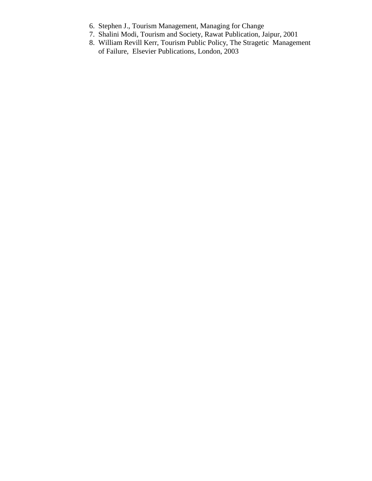- 6. Stephen J., Tourism Management, Managing for Change
- 7. Shalini Modi, Tourism and Society, Rawat Publication, Jaipur, 2001
- 8. William Revill Kerr, Tourism Public Policy, The Stragetic Management of Failure, Elsevier Publications, London, 2003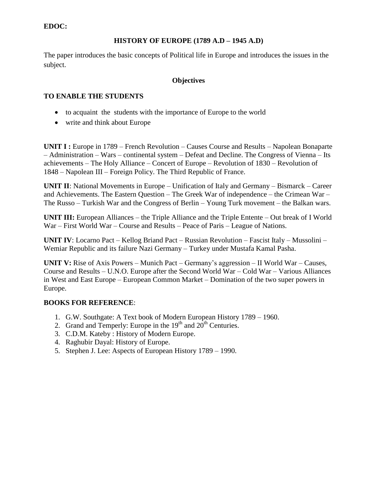## **EDOC:**

## **HISTORY OF EUROPE (1789 A.D – 1945 A.D)**

The paper introduces the basic concepts of Political life in Europe and introduces the issues in the subject.

#### **Objectives**

### **TO ENABLE THE STUDENTS**

- to acquaint the students with the importance of Europe to the world
- write and think about Europe

**UNIT I :** Europe in 1789 – French Revolution – Causes Course and Results – Napolean Bonaparte – Administration – Wars – continental system – Defeat and Decline. The Congress of Vienna – Its achievements – The Holy Alliance – Concert of Europe – Revolution of 1830 – Revolution of 1848 – Napolean III – Foreign Policy. The Third Republic of France.

**UNIT II**: National Movements in Europe – Unification of Italy and Germany – Bismarck – Career and Achievements. The Eastern Question – The Greek War of independence – the Crimean War – The Russo – Turkish War and the Congress of Berlin – Young Turk movement – the Balkan wars.

**UNIT III:** European Alliances – the Triple Alliance and the Triple Entente – Out break of I World War – First World War – Course and Results – Peace of Paris – League of Nations.

**UNIT IV**: Locarno Pact – Kellog Briand Pact – Russian Revolution – Fascist Italy – Mussolini – Wemiar Republic and its failure Nazi Germany – Turkey under Mustafa Kamal Pasha.

**UNIT V:** Rise of Axis Powers – Munich Pact – Germany"s aggression – II World War – Causes, Course and Results – U.N.O. Europe after the Second World War – Cold War – Various Alliances in West and East Europe – European Common Market – Domination of the two super powers in Europe.

- 1. G.W. Southgate: A Text book of Modern European History 1789 1960.
- 2. Grand and Temperly: Europe in the  $19<sup>th</sup>$  and  $20<sup>th</sup>$  Centuries.
- 3. C.D.M. Kateby : History of Modern Europe.
- 4. Raghubir Dayal: History of Europe.
- 5. Stephen J. Lee: Aspects of European History 1789 1990.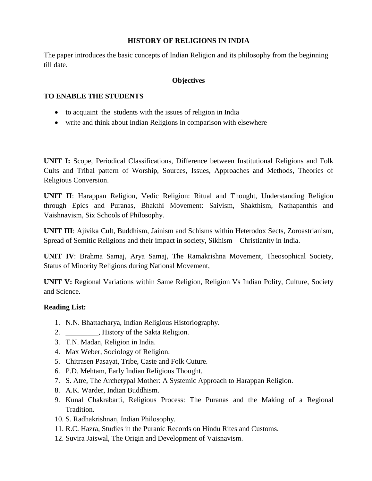## **HISTORY OF RELIGIONS IN INDIA**

The paper introduces the basic concepts of Indian Religion and its philosophy from the beginning till date.

## **Objectives**

## **TO ENABLE THE STUDENTS**

- to acquaint the students with the issues of religion in India
- write and think about Indian Religions in comparison with elsewhere

**UNIT I:** Scope, Periodical Classifications, Difference between Institutional Religions and Folk Cults and Tribal pattern of Worship, Sources, Issues, Approaches and Methods, Theories of Religious Conversion.

**UNIT II**: Harappan Religion, Vedic Religion: Ritual and Thought, Understanding Religion through Epics and Puranas, Bhakthi Movement: Saivism, Shakthism, Nathapanthis and Vaishnavism, Six Schools of Philosophy.

**UNIT III**: Ajivika Cult, Buddhism, Jainism and Schisms within Heterodox Sects, Zoroastrianism, Spread of Semitic Religions and their impact in society, Sikhism – Christianity in India.

**UNIT IV**: Brahma Samaj, Arya Samaj, The Ramakrishna Movement, Theosophical Society, Status of Minority Religions during National Movement,

**UNIT V:** Regional Variations within Same Religion, Religion Vs Indian Polity, Culture, Society and Science.

## **Reading List:**

- 1. N.N. Bhattacharya, Indian Religious Historiography.
- 2. \_\_\_\_\_\_\_\_\_, History of the Sakta Religion.
- 3. T.N. Madan, Religion in India.
- 4. Max Weber, Sociology of Religion.
- 5. Chitrasen Pasayat, Tribe, Caste and Folk Cuture.
- 6. P.D. Mehtam, Early Indian Religious Thought.
- 7. S. Atre, The Archetypal Mother: A Systemic Approach to Harappan Religion.
- 8. A.K. Warder, Indian Buddhism.
- 9. Kunal Chakrabarti, Religious Process: The Puranas and the Making of a Regional Tradition.
- 10. S. Radhakrishnan, Indian Philosophy.
- 11. R.C. Hazra, Studies in the Puranic Records on Hindu Rites and Customs.
- 12. Suvira Jaiswal, The Origin and Development of Vaisnavism.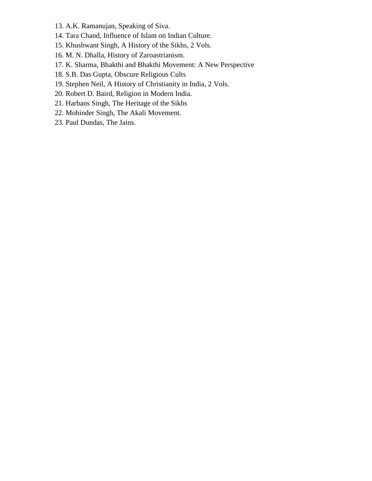- 13. A.K. Ramanujan, Speaking of Siva.
- 14. Tara Chand, Influence of Islam on Indian Culture.
- 15. Khushwant Singh, A History of the Sikhs, 2 Vols.
- 16. M. N. Dhalla, History of Zaroastrianism.
- 17. K. Sharma, Bhakthi and Bhakthi Movement: A New Perspective
- 18. S.B. Das Gupta, Obscure Religious Cults
- 19. Stephen Neil, A History of Christianity in India, 2 Vols.
- 20. Robert D. Baird, Religion in Modern India.
- 21. Harbans Singh, The Heritage of the Sikhs
- 22. Mohinder Singh, The Akali Movement.
- 23. Paul Dundas, The Jains.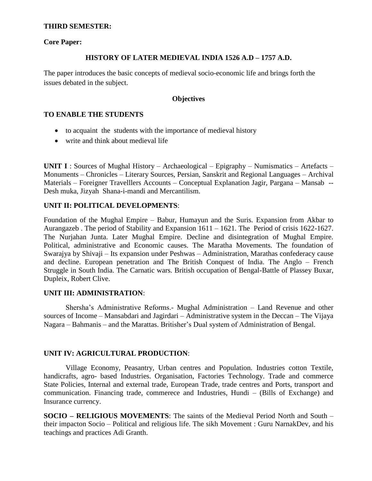### **THIRD SEMESTER:**

#### **Core Paper:**

#### **HISTORY OF LATER MEDIEVAL INDIA 1526 A.D – 1757 A.D.**

The paper introduces the basic concepts of medieval socio-economic life and brings forth the issues debated in the subject.

### **Objectives**

## **TO ENABLE THE STUDENTS**

- to acquaint the students with the importance of medieval history
- write and think about medieval life

**UNIT I** : Sources of Mughal History – Archaeological – Epigraphy – Numismatics – Artefacts – Monuments – Chronicles – Literary Sources, Persian, Sanskrit and Regional Languages – Archival Materials – Foreigner Travelllers Accounts – Conceptual Explanation Jagir, Pargana – Mansab -- Desh muka, Jizyah Shana-i-mandi and Mercantilism.

## **UNIT II: POLITICAL DEVELOPMENTS**:

Foundation of the Mughal Empire – Babur, Humayun and the Suris. Expansion from Akbar to Aurangazeb . The period of Stability and Expansion 1611 – 1621. The Period of crisis 1622-1627. The Nurjahan Junta. Later Mughal Empire. Decline and disintegration of Mughal Empire. Political, administrative and Economic causes. The Maratha Movements. The foundation of Swarajya by Shivaji – Its expansion under Peshwas – Administration, Marathas confederacy cause and decline. European penetration and The British Conquest of India. The Anglo – French Struggle in South India. The Carnatic wars. British occupation of Bengal-Battle of Plassey Buxar, Dupleix, Robert Clive.

#### **UNIT III: ADMINISTRATION**:

Shersha"s Administrative Reforms.- Mughal Administration – Land Revenue and other sources of Income – Mansabdari and Jagirdari – Administrative system in the Deccan – The Vijaya Nagara – Bahmanis – and the Marattas. Britisher"s Dual system of Administration of Bengal.

#### **UNIT IV: AGRICULTURAL PRODUCTION**:

Village Economy, Peasantry, Urban centres and Population. Industries cotton Textile, handicrafts, agro- based Industries. Organisation, Factories Technology. Trade and commerce State Policies, Internal and external trade, European Trade, trade centres and Ports, transport and communication. Financing trade, commerece and Industries, Hundi – (Bills of Exchange) and Insurance currency.

**SOCIO – RELIGIOUS MOVEMENTS**: The saints of the Medieval Period North and South – their impacton Socio – Political and religious life. The sikh Movement : Guru NarnakDev, and his teachings and practices Adi Granth.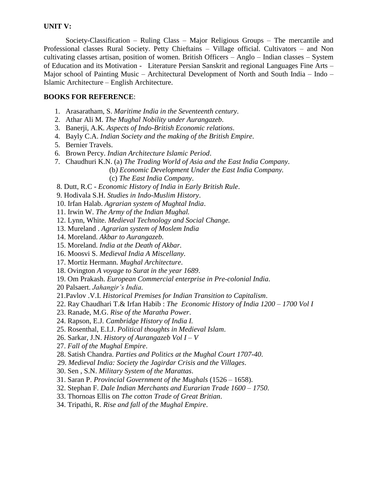## **UNIT V:**

Society-Classification – Ruling Class – Major Religious Groups – The mercantile and Professional classes Rural Society. Petty Chieftains – Village official. Cultivators – and Non cultivating classes artisan, position of women. British Officers – Anglo – Indian classes – System of Education and its Motivation - Literature Persian Sanskrit and regional Languages Fine Arts – Major school of Painting Music – Architectural Development of North and South India – Indo – Islamic Architecture – English Architecture.

## **BOOKS FOR REFERENCE**:

- 1. Arasaratham, S. *Maritime India in the Seventeenth century*.
- 2. Athar Ali M. *The Mughal Nobility under Aurangazeb*.
- 3. Banerji, A.K*. Aspects of Indo-British Economic relations*.
- 4. Bayly C.A. *Indian Society and the making of the British Empire*.
- 5. Bernier Travels.
- 6. Brown Percy. *Indian Architecture Islamic Period*.
- 7. Chaudhuri K.N. (a) *The Trading World of Asia and the East India Company*.
	- (b*) Economic Development Under the East India Company.*
		- (c) *The East India Company*.

8. Dutt, R.C - *Economic History of India in Early British Rule*.

- 9. Hodivala S.H. *Studies in Indo-Muslim History*.
- 10. Irfan Halab. *Agrarian system of Mughtal India*.
- 11. Irwin W. *The Army of the Indian Mughal.*
- 12. Lynn, White. *Medieval Technology and Social Change.*
- 13. Mureland . *Agrarian system of Moslem India*
- 14. Moreland. *Akbar to Aurangazeb.*
- 15. Moreland. *India at the Death of Akbar.*
- 16. Moosvi S. *Medieval India A Miscellany.*
- 17. Mortiz Hermann. *Mughal Architecture*.
- 18. Ovington *A voyage to Surat in the year 1689*.
- 19. Om Prakash. *European Commercial enterprise in Pre-colonial India*.
- 20 Palsaert. *Jahangir's India.*
- 21.Pavlov .V.I. *Historical Premises for Indian Transition to Capitalism*.
- 22. Ray Chaudhari T.& Irfan Habib : *The Economic History of India 1200 – 1700 Vol I*
- 23. Ranade, M.G. *Rise of the Maratha Power*.
- 24. Rapson, E.J*. Cambridge History of India I.*
- 25. Rosenthal, E.I.J. *Political thoughts in Medieval Islam*.
- 26. Sarkar, J.N. *History of Aurangazeb Vol I – V*
- 27. *Fall of the Mughal Empire*.
- 28. Satish Chandra. *Parties and Politics at the Mughal Court 1707-40*.
- 29. *Medieval India: Society the Jagirdar Crisis and the Villages*.
- 30. Sen , S.N. *Military System of the Marattas*.
- 31. Saran P. *Provincial Government of the Mughals* (1526 1658).
- 32. Stephan F. *Dale Indian Merchants and Eurarian Trade 1600 – 1750*.
- 33. Thornoas Ellis on *The cotton Trade of Great Britian*.
- 34. Tripathi, R. *Rise and fall of the Mughal Empire*.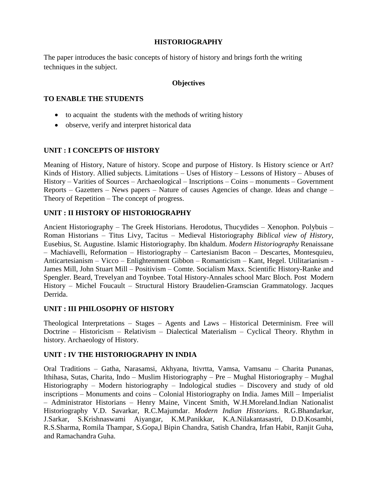## **HISTORIOGRAPHY**

The paper introduces the basic concepts of history of history and brings forth the writing techniques in the subject.

### **Objectives**

### **TO ENABLE THE STUDENTS**

- to acquaint the students with the methods of writing history
- observe, verify and interpret historical data

## **UNIT : I CONCEPTS OF HISTORY**

Meaning of History, Nature of history. Scope and purpose of History. Is History science or Art? Kinds of History. Allied subjects. Limitations – Uses of History – Lessons of History – Abuses of History – Varities of Sources – Archaeological – Inscriptions – Coins – monuments – Government Reports – Gazetters – News papers – Nature of causes Agencies of change. Ideas and change – Theory of Repetition – The concept of progress.

## **UNIT : II HISTORY OF HISTORIOGRAPHY**

Ancient Historiography – The Greek Historians. Herodotus, Thucydides – Xenophon. Polybuis – Roman Historians – Titus Livy, Tacitus – Medieval Historiography *Biblical view of History,*  Eusebius, St. Augustine. Islamic Historiography. Ibn khaldum. *Modern Historiography* Renaissane – Machiavelli, Reformation – Historiography – Cartesianism Bacon – Descartes, Montesquieu, Anticartesianism – Vicco – Enlightenment Gibbon – Romanticism – Kant, Hegel. Utilitarianism - James Mill, John Stuart Mill – Positivism – Comte. Socialism Maxx. Scientific History-Ranke and Spengler. Beard, Trevelyan and Toynbee. Total History-Annales school Marc Bloch. Post Modern History – Michel Foucault – Structural History Braudelien-Gramscian Grammatology. Jacques Derrida.

#### **UNIT : III PHILOSOPHY OF HISTORY**

Theological Interpretations – Stages – Agents and Laws – Historical Determinism. Free will Doctrine – Historicism – Relativism – Dialectical Materialism – Cyclical Theory. Rhythm in history. Archaeology of History.

## **UNIT : IV THE HISTORIOGRAPHY IN INDIA**

Oral Traditions – Gatha, Narasamsi, Akhyana, Itivrtta, Vamsa, Vamsanu – Charita Punanas, Ithihasa, Sutas, Charita, Indo – Muslim Historiography – Pre – Mughal Historiography – Mughal Historiography – Modern historiography – Indological studies – Discovery and study of old inscriptions – Monuments and coins – Colonial Historiography on India. James Mill – Imperialist – Administrator Historians – Henry Maine, Vincent Smith, W.H.Moreland.Indian Nationalist Historiography V.D. Savarkar, R.C.Majumdar. *Modern Indian Historians*. R.G.Bhandarkar, J.Sarkar, S.Krishnaswami Aiyangar, K.M.Panikkar, K.A.Nilakantasastri, D.D.Kosambi, R.S.Sharma, Romila Thampar, S.Gopa,l Bipin Chandra, Satish Chandra, Irfan Habit, Ranjit Guha, and Ramachandra Guha.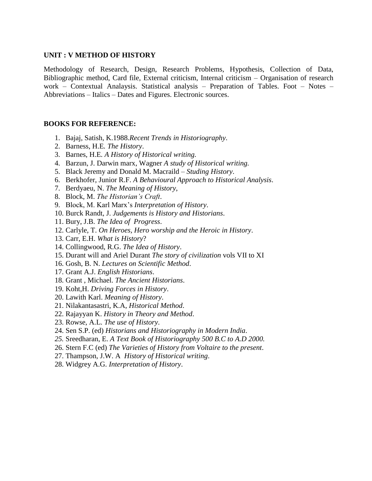#### **UNIT : V METHOD OF HISTORY**

Methodology of Research, Design, Research Problems, Hypothesis, Collection of Data, Bibliographic method, Card file, External criticism, Internal criticism – Organisation of research work – Contextual Analaysis. Statistical analysis – Preparation of Tables. Foot – Notes – Abbreviations – Italics – Dates and Figures. Electronic sources.

- 1. Bajaj, Satish, K.1988.*Recent Trends in Historiography*.
- 2. Barness, H.E*. The History*.
- 3. Barnes, H.E*. A History of Historical writing.*
- 4. Barzun, J. Darwin marx, Wagner *A study of Historical writing.*
- 5. Black Jeremy and Donald M. Macraild *Studing History*.
- 6. Berkhofer, Junior R.F. *A Behavioural Approach to Historical Analysis*.
- 7. Berdyaeu, N. *The Meaning of History*,
- 8. Block, M. *The Historian's Craft*.
- 9. Block, M. Karl Marx"s *Interpretation of History*.
- 10. Burck Randt, J. *Judgements is History and Historians*.
- 11. Bury, J.B. *The Idea of Progress*.
- 12. Carlyle, T. *On Heroes, Hero worship and the Heroic in History*.
- 13. Carr, E.H. *What is History*?
- 14. Collingwood, R.G. *The Idea of History*.
- 15. Durant will and Ariel Durant *The story of civilization* vols VII to XI
- 16. Gosh, B. N. *Lectures on Scientific Method*.
- 17. Grant A.J. *English Historians*.
- 18. Grant , Michael. *The Ancient Historians*.
- 19. Koht,H. *Driving Forces in History*.
- 20. Lawith Karl. *Meaning of History*.
- 21. Nilakantasastri, K.A, *Historical Method*.
- 22. Rajayyan K. *History in Theory and Method*.
- 23. Rowse, A.L. *The use of History*.
- 24. Sen S.P. (ed) *Historians and Historiography in Modern India*.
- *25.* Sreedharan, E. *A Text Book of Historiography 500 B.C to A.D 2000.*
- 26. Stern F.C (ed) *The Varieties of History from Voltaire to the present*.
- 27. Thampson, J.W. A *History of Historical writing*.
- 28. Widgrey A.G. *Interpretation of History*.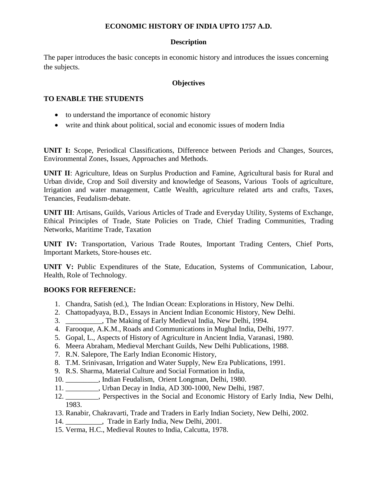## **ECONOMIC HISTORY OF INDIA UPTO 1757 A.D.**

## **Description**

The paper introduces the basic concepts in economic history and introduces the issues concerning the subjects.

## **Objectives**

## **TO ENABLE THE STUDENTS**

- to understand the importance of economic history
- write and think about political, social and economic issues of modern India

**UNIT I:** Scope, Periodical Classifications, Difference between Periods and Changes, Sources, Environmental Zones, Issues, Approaches and Methods.

**UNIT II**: Agriculture, Ideas on Surplus Production and Famine, Agricultural basis for Rural and Urban divide, Crop and Soil diversity and knowledge of Seasons, Various Tools of agriculture, Irrigation and water management, Cattle Wealth, agriculture related arts and crafts, Taxes, Tenancies, Feudalism-debate.

**UNIT III**: Artisans, Guilds, Various Articles of Trade and Everyday Utility, Systems of Exchange, Ethical Principles of Trade, State Policies on Trade, Chief Trading Communities, Trading Networks, Maritime Trade, Taxation

**UNIT IV:** Transportation, Various Trade Routes, Important Trading Centers, Chief Ports, Important Markets, Store-houses etc.

**UNIT V:** Public Expenditures of the State, Education, Systems of Communication, Labour, Health, Role of Technology.

- 1. Chandra, Satish (ed.), The Indian Ocean: Explorations in History, New Delhi.
- 2. Chattopadyaya, B.D., Essays in Ancient Indian Economic History, New Delhi.
- 3. \_\_\_\_\_\_\_\_\_\_, The Making of Early Medieval India, New Delhi, 1994.
- 4. Farooque, A.K.M., Roads and Communications in Mughal India, Delhi, 1977.
- 5. Gopal, L., Aspects of History of Agriculture in Ancient India, Varanasi, 1980.
- 6. Meera Abraham, Medieval Merchant Guilds, New Delhi Publications, 1988.
- 7. R.N. Salepore, The Early Indian Economic History,
- 8. T.M. Srinivasan, Irrigation and Water Supply, New Era Publications, 1991.
- 9. R.S. Sharma, Material Culture and Social Formation in India,
- 10. \_\_\_\_\_\_\_\_\_, Indian Feudalism, Orient Longman, Delhi, 1980.
- 11. \_\_\_\_\_\_\_\_\_, Urban Decay in India, AD 300-1000, New Delhi, 1987.
- 12. \_\_\_\_\_\_\_\_\_, Perspectives in the Social and Economic History of Early India, New Delhi, 1983.
- 13. Ranabir, Chakravarti, Trade and Traders in Early Indian Society, New Delhi, 2002.
- 14. Trade in Early India, New Delhi, 2001.
- 15. Verma, H.C., Medieval Routes to India, Calcutta, 1978.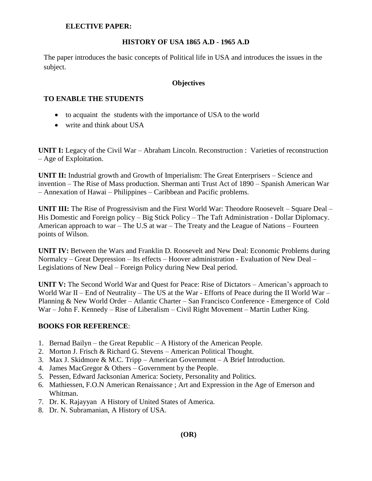#### **ELECTIVE PAPER:**

## **HISTORY OF USA 1865 A.D - 1965 A.D**

The paper introduces the basic concepts of Political life in USA and introduces the issues in the subject.

#### **Objectives**

#### **TO ENABLE THE STUDENTS**

- to acquaint the students with the importance of USA to the world
- write and think about USA

**UNIT I:** Legacy of the Civil War – Abraham Lincoln. Reconstruction : Varieties of reconstruction – Age of Exploitation.

**UNIT II:** Industrial growth and Growth of Imperialism: The Great Enterprisers – Science and invention – The Rise of Mass production. Sherman anti Trust Act of 1890 – Spanish American War – Annexation of Hawai – Philippines – Caribbean and Pacific problems.

**UNIT III:** The Rise of Progressivism and the First World War: Theodore Roosevelt – Square Deal – His Domestic and Foreign policy – Big Stick Policy – The Taft Administration - Dollar Diplomacy. American approach to war – The U.S at war – The Treaty and the League of Nations – Fourteen points of Wilson.

**UNIT IV:** Between the Wars and Franklin D. Roosevelt and New Deal: Economic Problems during Normalcy – Great Depression – Its effects – Hoover administration - Evaluation of New Deal – Legislations of New Deal – Foreign Policy during New Deal period.

**UNIT V:** The Second World War and Quest for Peace: Rise of Dictators – American's approach to World War II – End of Neutrality – The US at the War - Efforts of Peace during the II World War – Planning & New World Order – Atlantic Charter – San Francisco Conference - Emergence of Cold War – John F. Kennedy – Rise of Liberalism – Civil Right Movement – Martin Luther King.

- 1. Bernad Bailyn the Great Republic A History of the American People.
- 2. Morton J. Frisch & Richard G. Stevens American Political Thought.
- 3. Max J. Skidmore & M.C. Tripp American Government A Brief Introduction.
- 4. James MacGregor & Others Government by the People.
- 5. Pessen, Edward Jacksonian America: Society, Personality and Politics.
- 6. Mathiessen, F.O.N American Renaissance ; Art and Expression in the Age of Emerson and Whitman.
- 7. Dr. K. Rajayyan A History of United States of America.
- 8. Dr. N. Subramanian, A History of USA.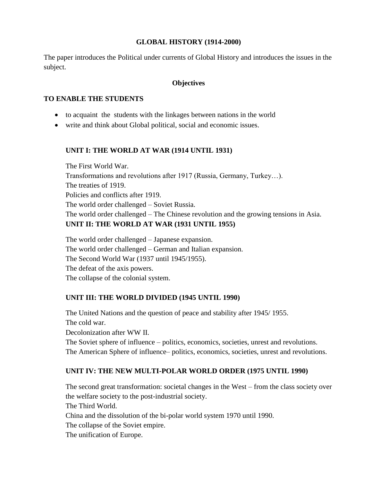## **GLOBAL HISTORY (1914-2000)**

The paper introduces the Political under currents of Global History and introduces the issues in the subject.

#### **Objectives**

#### **TO ENABLE THE STUDENTS**

- to acquaint the students with the linkages between nations in the world
- write and think about Global political, social and economic issues.

## **UNIT I: THE WORLD AT WAR (1914 UNTIL 1931)**

The First World War. Transformations and revolutions after 1917 (Russia, Germany, Turkey…). The treaties of 1919. Policies and conflicts after 1919. The world order challenged – Soviet Russia. The world order challenged – The Chinese revolution and the growing tensions in Asia. **UNIT II: THE WORLD AT WAR (1931 UNTIL 1955)**

The world order challenged – Japanese expansion. The world order challenged – German and Italian expansion. The Second World War (1937 until 1945/1955). The defeat of the axis powers. The collapse of the colonial system.

## **UNIT III: THE WORLD DIVIDED (1945 UNTIL 1990)**

The United Nations and the question of peace and stability after 1945/ 1955. The cold war. Decolonization after WW II. The Soviet sphere of influence – politics, economics, societies, unrest and revolutions. The American Sphere of influence– politics, economics, societies, unrest and revolutions.

## **UNIT IV: THE NEW MULTI-POLAR WORLD ORDER (1975 UNTIL 1990)**

The second great transformation: societal changes in the West – from the class society over the welfare society to the post-industrial society. The Third World. China and the dissolution of the bi-polar world system 1970 until 1990. The collapse of the Soviet empire. The unification of Europe.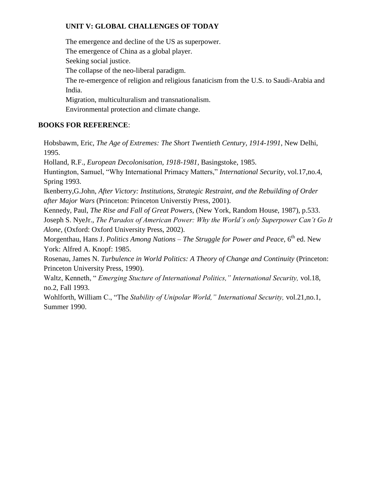# **UNIT V: GLOBAL CHALLENGES OF TODAY**

The emergence and decline of the US as superpower. The emergence of China as a global player. Seeking social justice. The collapse of the neo-liberal paradigm. The re-emergence of religion and religious fanaticism from the U.S. to Saudi-Arabia and India. Migration, multiculturalism and transnationalism. Environmental protection and climate change.

# **BOOKS FOR REFERENCE**:

Hobsbawm, Eric, *The Age of Extremes: The Short Twentieth Century, 1914-1991*, New Delhi, 1995.

Holland, R.F., *European Decolonisation, 1918-1981*, Basingstoke, 1985.

Huntington, Samuel, "Why International Primacy Matters," *International Security*, vol.17,no.4, Spring 1993.

Ikenberry,G.John, *After Victory: Institutions, Strategic Restraint, and the Rebuilding of Order after Major Wars* (Princeton: Princeton Universtiy Press, 2001).

Kennedy, Paul, *The Rise and Fall of Great Powers,* (New York, Random House, 1987), p.533.

Joseph S. NyeJr., *The Paradox of American Power: Why the World's only Superpower Can't Go It Alone,* (Oxford: Oxford University Press, 2002).

Morgenthau, Hans J. *Politics Among Nations – The Struggle for Power and Peace*, 6<sup>th</sup> ed. New York: Alfred A. Knopf: 1985.

Rosenau, James N. *Turbulence in World Politics: A Theory of Change and Continuity* (Princeton: Princeton University Press, 1990).

Waltz, Kenneth, " *Emerging Stucture of International Politics," International Security,* vol.18, no.2, Fall 1993.

Wohlforth, William C., "The *Stability of Unipolar World," International Security,* vol.21,no.1, Summer 1990.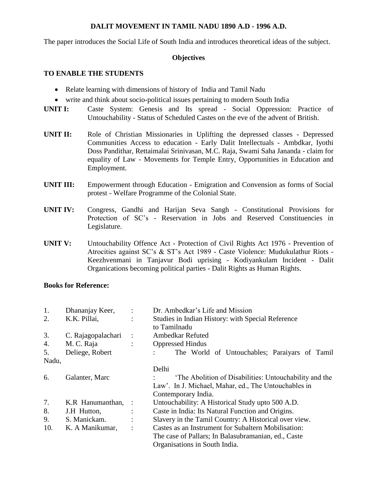#### **DALIT MOVEMENT IN TAMIL NADU 1890 A.D - 1996 A.D.**

The paper introduces the Social Life of South India and introduces theoretical ideas of the subject.

## **Objectives**

## **TO ENABLE THE STUDENTS**

- Relate learning with dimensions of history of India and Tamil Nadu
- write and think about socio-political issues pertaining to modern South India
- **UNIT I:** Caste System: Genesis and Its spread Social Oppression: Practice of Untouchability - Status of Scheduled Castes on the eve of the advent of British.
- **UNIT II:** Role of Christian Missionaries in Uplifting the depressed classes Depressed Communities Access to education - Early Dalit Intellectuals - Ambdkar, Iyothi Doss Pandithar, Rettaimalai Srinivasan, M.C. Raja, Swami Saha Jananda - claim for equality of Law - Movements for Temple Entry, Opportunities in Education and Employment.
- **UNIT III:** Empowerment through Education Emigration and Convension as forms of Social protest - Welfare Programme of the Colonial State.
- **UNIT IV:** Congress, Gandhi and Harijan Seva Sangh Constitutional Provisions for Protection of SC"s - Reservation in Jobs and Reserved Constituencies in Legislature.
- **UNIT V:** Untouchability Offence Act Protection of Civil Rights Act 1976 Prevention of Atrocities against SC"s & ST"s Act 1989 - Caste Violence: Mudukulathur Riots - Keezhvenmani in Tanjavur Bodi uprising - Kodiyankulam Incident - Dalit Organications becoming political parties - Dalit Rights as Human Rights.

#### **Books for Reference:**

| 1.    | Dhananjay Keer,    | $\ddot{\cdot}$ | Dr. Ambedkar's Life and Mission                       |
|-------|--------------------|----------------|-------------------------------------------------------|
| 2.    | K.K. Pillai,       | $\ddot{\cdot}$ | Studies in Indian History: with Special Reference     |
|       |                    |                | to Tamilnadu                                          |
| 3.    | C. Rajagopalachari | $\ddot{\cdot}$ | <b>Ambedkar Refuted</b>                               |
| 4.    | M. C. Raja         | $\ddot{\cdot}$ | <b>Oppressed Hindus</b>                               |
| 5.    | Deliege, Robert    |                | The World of Untouchables; Paraiyars of Tamil         |
| Nadu, |                    |                |                                                       |
|       |                    |                | Delhi                                                 |
| 6.    | Galanter, Marc     |                | The Abolition of Disabilities: Untouchability and the |
|       |                    |                | Law'. In J. Michael, Mahar, ed., The Untouchables in  |
|       |                    |                | Contemporary India.                                   |
| 7.    | K.R Hanumanthan,   |                | Untouchability: A Historical Study upto 500 A.D.      |
| 8.    | J.H Hutton,        |                | Caste in India: Its Natural Function and Origins.     |
| 9.    | S. Manickam.       |                | Slavery in the Tamil Country: A Historical over view. |
| 10.   | K. A Manikumar,    |                | Castes as an Instrument for Subaltern Mobilisation:   |
|       |                    |                | The case of Pallars; In Balasubramanian, ed., Caste   |
|       |                    |                | Organisations in South India.                         |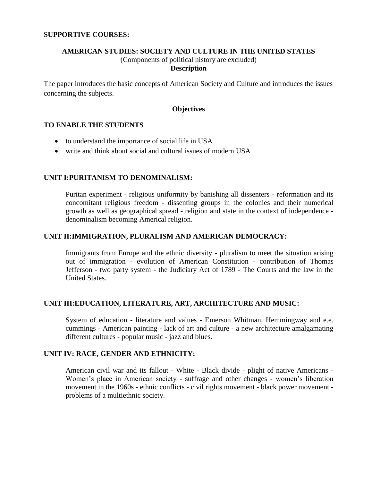### **AMERICAN STUDIES: SOCIETY AND CULTURE IN THE UNITED STATES** (Components of political history are excluded) **Description**

The paper introduces the basic concepts of American Society and Culture and introduces the issues concerning the subjects.

## **Objectives**

## **TO ENABLE THE STUDENTS**

- to understand the importance of social life in USA
- write and think about social and cultural issues of modern USA

#### **UNIT I:PURITANISM TO DENOMINALISM:**

Puritan experiment - religious uniformity by banishing all dissenters - reformation and its concomitant religious freedom - dissenting groups in the colonies and their numerical growth as well as geographical spread - religion and state in the context of independence denominalism becoming Americal religion.

#### **UNIT II:IMMIGRATION, PLURALISM AND AMERICAN DEMOCRACY:**

Immigrants from Europe and the ethnic diversity - pluralism to meet the situation arising out of immigration - evolution of American Constitution - contribution of Thomas Jefferson - two party system - the Judiciary Act of 1789 - The Courts and the law in the United States.

#### **UNIT III:EDUCATION, LITERATURE, ART, ARCHITECTURE AND MUSIC:**

System of education - literature and values - Emerson Whitman, Hemmingway and e.e. cummings - American painting - lack of art and culture - a new architecture amalgamating different cultures - popular music - jazz and blues.

#### **UNIT IV: RACE, GENDER AND ETHNICITY:**

American civil war and its fallout - White - Black divide - plight of native Americans - Women"s place in American society - suffrage and other changes - women"s liberation movement in the 1960s - ethnic conflicts - civil rights movement - black power movement problems of a multiethnic society.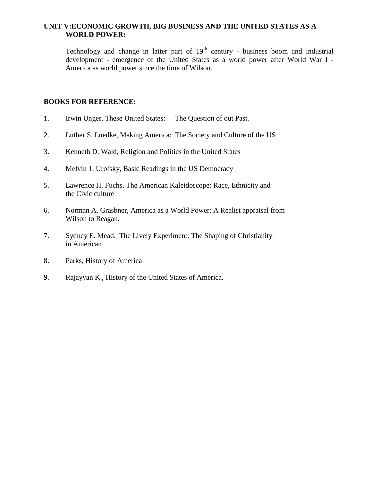## **UNIT V:ECONOMIC GROWTH, BIG BUSINESS AND THE UNITED STATES AS A WORLD POWER:**

Technology and change in latter part of  $19<sup>th</sup>$  century - business boom and industrial development - emergence of the United States as a world power after World War I - America as world power since the time of Wilson.

- 1. Irwin Unger, These United States: The Question of out Past.
- 2. Luther S. Luedke, Making America: The Society and Culture of the US
- 3. Kenneth D. Wald, Religion and Politics in the United States
- 4. Melvin 1. Urofsky, Basic Readings in the US Democracy
- 5. Lawrence H. Fuchs, The American Kaleidoscope: Race, Ethnicity and the Civic culture
- 6. Norman A. Grasbner, America as a World Power: A Realist appraisal from Wilson to Reagan.
- 7. Sydney E. Mead. The Lively Experiment: The Shaping of Christianity in American
- 8. Parks, History of America
- 9. Rajayyan K., History of the United States of America.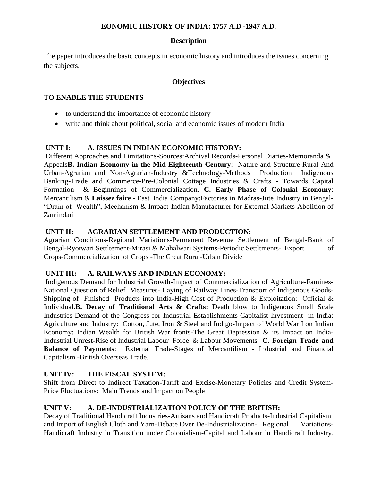## **EONOMIC HISTORY OF INDIA: 1757 A.D -1947 A.D.**

## **Description**

The paper introduces the basic concepts in economic history and introduces the issues concerning the subjects.

## **Objectives**

## **TO ENABLE THE STUDENTS**

- to understand the importance of economic history
- write and think about political, social and economic issues of modern India

## **UNIT I: A. ISSUES IN INDIAN ECONOMIC HISTORY:**

Different Approaches and Limitations-Sources:Archival Records-Personal Diaries-Memoranda & Appeals**B. Indian Economy in the Mid-Eighteenth Century**: Nature and Structure-Rural And Urban-Agrarian and Non-Agrarian-Industry &Technology-Methods Production Indigenous Banking-Trade and Commerce-Pre-Colonial Cottage Industries & Crafts - Towards Capital Formation & Beginnings of Commercialization. **C. Early Phase of Colonial Economy**: Mercantilism & **Laissez faire** - East India Company:Factories in Madras-Jute Industry in Bengal- "Drain of Wealth", Mechanism & Impact-Indian Manufacturer for External Markets-Abolition of Zamindari

## **UNIT II: AGRARIAN SETTLEMENT AND PRODUCTION:**

Agrarian Conditions-Regional Variations-Permanent Revenue Settlement of Bengal-Bank of Bengal-Ryotwari Settltement-Mirasi & Mahalwari Systems-Periodic Settltments- Export of Crops-Commercialization of Crops -The Great Rural-Urban Divide

## **UNIT III: A. RAILWAYS AND INDIAN ECONOMY:**

Indigenous Demand for Industrial Growth-Impact of Commercialization of Agriculture-Famines-National Question of Relief Measures- Laying of Railway Lines-Transport of Indigenous Goods-Shipping of Finished Products into India-High Cost of Production & Exploitation: Official & Individual.**B. Decay of Traditional Arts & Crafts:** Death blow to Indigenous Small Scale Industries-Demand of the Congress for Industrial Establishments-Capitalist Investment in India: Agriculture and Industry: Cotton, Jute, Iron & Steel and Indigo-Impact of World War I on Indian Economy: Indian Wealth for British War fronts-The Great Depression & its Impact on India-Industrial Unrest-Rise of Industrial Labour Force & Labour Movements **C. Foreign Trade and Balance of Payments**: External Trade-Stages of Mercantilism - Industrial and Financial Capitalism -British Overseas Trade.

# **UNIT IV: THE FISCAL SYSTEM:**

Shift from Direct to Indirect Taxation-Tariff and Excise-Monetary Policies and Credit System-Price Fluctuations: Main Trends and Impact on People

# **UNIT V: A. DE-INDUSTRIALIZATION POLICY OF THE BRITISH:**

Decay of Traditional Handicraft Industries-Artisans and Handicraft Products-Industrial Capitalism and Import of English Cloth and Yarn-Debate Over De-Industrialization- Regional Variations-Handicraft Industry in Transition under Colonialism-Capital and Labour in Handicraft Industry.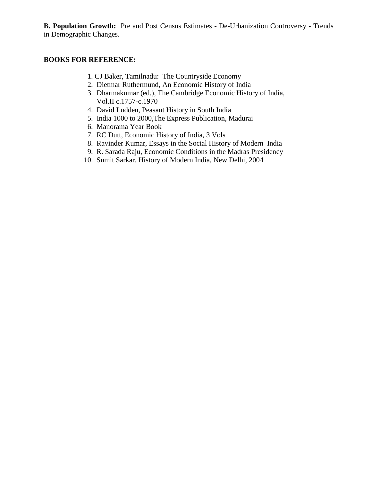**B. Population Growth:** Pre and Post Census Estimates - De-Urbanization Controversy - Trends in Demographic Changes.

- 1. CJ Baker, Tamilnadu: The Countryside Economy
- 2. Dietmar Ruthermund, An Economic History of India
- 3. Dharmakumar (ed.), The Cambridge Economic History of India, Vol.II c.1757-c.1970
- 4. David Ludden, Peasant History in South India
- 5. India 1000 to 2000,The Express Publication, Madurai
- 6. Manorama Year Book
- 7. RC Dutt, Economic History of India, 3 Vols
- 8. Ravinder Kumar, Essays in the Social History of Modern India
- 9. R. Sarada Raju, Economic Conditions in the Madras Presidency
- 10. Sumit Sarkar, History of Modern India, New Delhi, 2004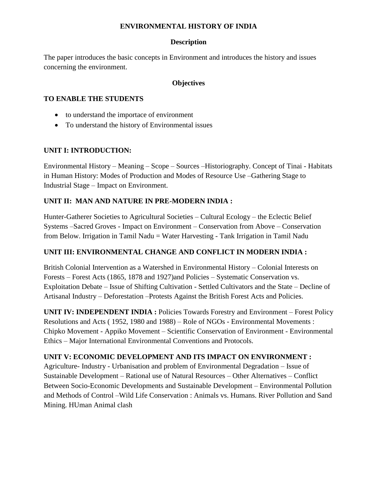## **ENVIRONMENTAL HISTORY OF INDIA**

## **Description**

The paper introduces the basic concepts in Environment and introduces the history and issues concerning the environment.

## **Objectives**

## **TO ENABLE THE STUDENTS**

- to understand the importace of environment
- To understand the history of Environmental issues

## **UNIT I: INTRODUCTION:**

Environmental History – Meaning – Scope – Sources –Historiography. Concept of Tinai - Habitats in Human History: Modes of Production and Modes of Resource Use –Gathering Stage to Industrial Stage – Impact on Environment.

## **UNIT II: MAN AND NATURE IN PRE-MODERN INDIA :**

Hunter-Gatherer Societies to Agricultural Societies – Cultural Ecology – the Eclectic Belief Systems –Sacred Groves - Impact on Environment – Conservation from Above – Conservation from Below. Irrigation in Tamil Nadu = Water Harvesting - Tank Irrigation in Tamil Nadu

## **UNIT III: ENVIRONMENTAL CHANGE AND CONFLICT IN MODERN INDIA :**

British Colonial Intervention as a Watershed in Environmental History – Colonial Interests on Forests – Forest Acts (1865, 1878 and 1927)and Policies – Systematic Conservation vs. Exploitation Debate – Issue of Shifting Cultivation - Settled Cultivators and the State – Decline of Artisanal Industry – Deforestation –Protests Against the British Forest Acts and Policies.

**UNIT IV: INDEPENDENT INDIA :** Policies Towards Forestry and Environment – Forest Policy Resolutions and Acts ( 1952, 1980 and 1988) – Role of NGOs - Environmental Movements : Chipko Movement - Appiko Movement – Scientific Conservation of Environment - Environmental Ethics – Major International Environmental Conventions and Protocols.

## **UNIT V: ECONOMIC DEVELOPMENT AND ITS IMPACT ON ENVIRONMENT :**

Agriculture- Industry - Urbanisation and problem of Environmental Degradation – Issue of Sustainable Development – Rational use of Natural Resources – Other Alternatives – Conflict Between Socio-Economic Developments and Sustainable Development – Environmental Pollution and Methods of Control –Wild Life Conservation : Animals vs. Humans. River Pollution and Sand Mining. HUman Animal clash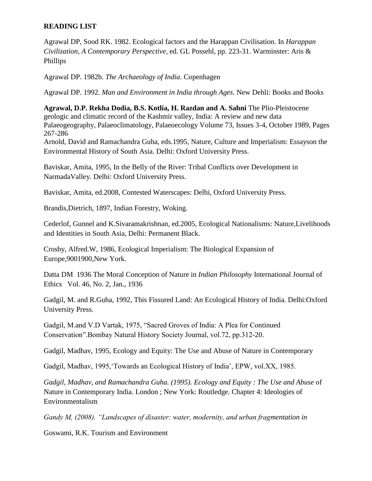## **READING LIST**

Agrawal DP, Sood RK. 1982. Ecological factors and the Harappan Civilisation. In *Harappan Civilization, A Contemporary Perspective*, ed. GL Possehl, pp. 223-31. Warminster: Aris & Phillips

Agrawal DP. 1982b. *The Archaeology of India*. Copenhagen

Agrawal DP. 1992. *Man and Environment in India through Ages*. New Dehli: Books and Books

**Agrawal, D.P. Rekha Dodia, B.S. Kotlia, H. Razdan and A. Sahni** The Plio-Pleistocene geologic and climatic record of the Kashmir valley, India: A review and new data Palaeogeography, Palaeoclimatology, Palaeoecology Volume 73, Issues 3-4, October 1989, Pages 267-286

Arnold, David and Ramachandra Guha, eds.1995, Nature, Culture and Imperialism: Essayson the Environmental History of South Asia. Delhi: Oxford University Press.

Baviskar, Amita, 1995, In the Belly of the River: Tribal Conflicts over Development in NarmadaValley. Delhi: Oxford University Press.

Baviskar, Amita, ed.2008, Contested Waterscapes: Delhi, Oxford University Press.

Brandis,Dietrich, 1897, Indian Forestry, Woking.

Cederlof, Gunnel and K.Sivaramakrishnan, ed.2005, Ecological Nationalisms: Nature,Livelihoods and Identities in South Asia, Delhi: Permanent Black.

Crosby, Alfred.W, 1986, Ecological Imperialism: The Biological Expansion of Europe,9001900,New York.

Datta DM 1936 The Moral Conception of Nature in *Indian Philosophy* International Journal of Ethics Vol. 46, No. 2, Jan., 1936

Gadgil, M. and R.Guha, 1992, This Fissured Land: An Ecological History of India. Delhi:Oxford University Press.

Gadgil, M.and V.D Vartak, 1975, "Sacred Groves of India: A Plea for Continued Conservation".Bombay Natural History Society Journal, vol.72, pp.312-20.

Gadgil, Madhav, 1995, Ecology and Equity: The Use and Abuse of Nature in Contemporary

Gadgil, Madhav, 1995, Towards an Ecological History of India', EPW, vol.XX, 1985.

*Gadgil, Madhav, and Ramachandra Guha. (1995). Ecology and Equity : The Use and Abuse* of Nature in Contemporary India. London ; New York: Routledge. Chapter 4: Ideologies of Environmentalism

*Gandy M, (2008). "Landscapes of disaster: water, modernity, and urban fragmentation in*

Goswami, R.K. Tourism and Environment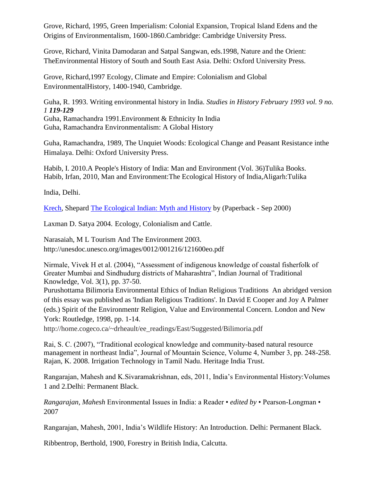Grove, Richard, 1995, Green Imperialism: Colonial Expansion, Tropical Island Edens and the Origins of Environmentalism, 1600-1860.Cambridge: Cambridge University Press.

Grove, Richard, Vinita Damodaran and Satpal Sangwan, eds.1998, Nature and the Orient: TheEnvironmental History of South and South East Asia. Delhi: Oxford University Press.

Grove, Richard,1997 Ecology, Climate and Empire: Colonialism and Global EnvironmentalHistory, 1400-1940, Cambridge.

Guha, R. 1993. Writing environmental history in India. *Studies in History February 1993 vol. 9 no. 1 119-129* Guha, Ramachandra 1991.Environment & Ethnicity In India

Guha, Ramachandra Environmentalism: A Global History

Guha, Ramachandra, 1989, The Unquiet Woods: Ecological Change and Peasant Resistance inthe Himalaya. Delhi: Oxford University Press.

Habib, I. 2010.A People's History of India: Man and Environment (Vol. 36)Tulika Books. Habib, Irfan, 2010, Man and Environment:The Ecological History of India,Aligarh:Tulika

India, Delhi.

[Krech,](http://www.amazon.com/Shepard-Krech/e/B001HPWZ50/ref=sr_ntt_srch_lnk_1?qid=1310045280&sr=1-1) Shepard [The Ecological Indian: Myth and History](http://www.amazon.com/Ecological-Indian-Myth-History/dp/0393321002/ref=sr_1_1?s=books&ie=UTF8&qid=1310045280&sr=1-1) by (Paperback - Sep 2000)

Laxman D. Satya 2004. [Ecology, Colonialism and Cattle.](http://www.oup.co.in/search_detail.php?id=125717)

Narasaiah, M L Tourism And The Environment 2003. http://unesdoc.unesco.org/images/0012/001216/121600eo.pdf

Nirmale, Vivek H et al. (2004), "Assessment of indigenous knowledge of coastal fisherfolk of Greater Mumbai and Sindhudurg districts of Maharashtra", Indian Journal of Traditional Knowledge, Vol. 3(1), pp. 37-50.

Purushottama Bilimoria Environmental Ethics of Indian Religious Traditions An abridged version of this essay was published as 'Indian Religious Traditions'. In David E Cooper and Joy A Palmer (eds.) Spirit of the Environmentr Religion, Value and Environmental Concern. London and New York: Routledge, 1998, pp. 1-14.

http://home.cogeco.ca/~drheault/ee\_readings/East/Suggested/Bilimoria.pdf

Rai, S. C. (2007), "Traditional ecological knowledge and community-based natural resource management in northeast India", Journal of Mountain Science, Volume 4, Number 3, pp. 248-258. Rajan, K. 2008. Irrigation Technology in Tamil Nadu. Heritage India Trust.

Rangarajan, Mahesh and K.Sivaramakrishnan, eds, 2011, India"s Environmental History:Volumes 1 and 2.Delhi: Permanent Black.

*Rangarajan, Mahesh* Environmental Issues in India: a Reader • *edited by* • Pearson-Longman • 2007

Rangarajan, Mahesh, 2001, India"s Wildlife History: An Introduction. Delhi: Permanent Black.

Ribbentrop, Berthold, 1900, Forestry in British India, Calcutta.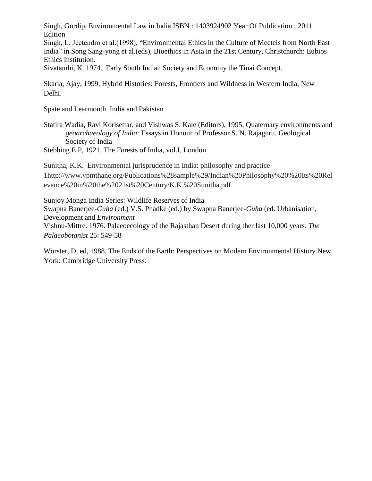Singh, Gurdip. Environmental Law in India ISBN : 1403924902 Year Of Publication : 2011 Edition

Singh, L. Jeetendro et al.(1998), "Environmental Ethics in the Culture of Meeteis from North East India" in Song Sang-yong et al.(eds), Bioethics in Asia in the 21st Century, Christchurch: Eubios Ethics Institution.

Sivatambi, K. 1974. Early South Indian Society and Economy the Tinai Concept.

Skaria, Ajay, 1999, Hybrid Histories: Forests, Frontiers and Wildness in Western India, New Delhi.

Spate and Learmonth India and Pakistan

Statira Wadia, Ravi Korisettar, and Vishwas S. Kale (Editors), 1995, Quaternary environments and *geoarchaeology of India*: Essays in Honour of Professor S. N. Rajaguru. Geological Society of India

Stebbing E.P, 1921, The Forests of India, vol.I, London.

Sunitha, K.K. Environmental jurisprudence in India: philosophy and practice 1http://www.vpmthane.org/Publications%28sample%29/Indian%20Philosophy%20%20Its%20Rel evance%20in%20the%2021st%20Century/K.K.%20Sunitha.pdf

Sunjoy Monga India Series: Wildlife Reserves of India Swapna Banerjee-*Guha* (ed.) V.S. Phadke (ed.) by Swapna Banerjee-*Guha* (ed. Urbanisation, Development and *Environment* Vishnu-Mittre. 1976. Palaeoecology of the Rajasthan Desert during ther last 10,000 years. *The Palaeobotanist* 25: 549-58

Worster, D, ed, 1988, The Ends of the Earth: Perspectives on Modern Environmental History.New York: Cambridge University Press.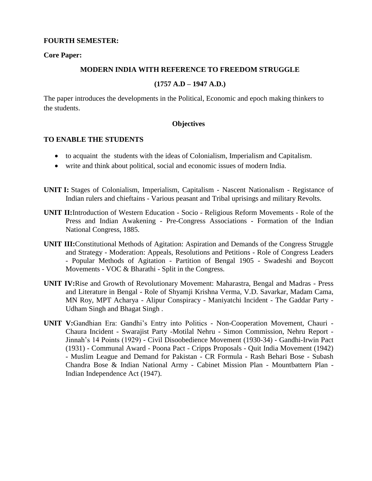#### **FOURTH SEMESTER:**

#### **Core Paper:**

#### **MODERN INDIA WITH REFERENCE TO FREEDOM STRUGGLE**

#### **(1757 A.D – 1947 A.D.)**

The paper introduces the developments in the Political, Economic and epoch making thinkers to the students.

#### **Objectives**

#### **TO ENABLE THE STUDENTS**

- to acquaint the students with the ideas of Colonialism, Imperialism and Capitalism.
- write and think about political, social and economic issues of modern India.
- **UNIT I:** Stages of Colonialism, Imperialism, Capitalism Nascent Nationalism Registance of Indian rulers and chieftains - Various peasant and Tribal uprisings and military Revolts.
- **UNIT II:**Introduction of Western Education Socio Religious Reform Movements Role of the Press and Indian Awakening - Pre-Congress Associations - Formation of the Indian National Congress, 1885.
- **UNIT III:**Constitutional Methods of Agitation: Aspiration and Demands of the Congress Struggle and Strategy - Moderation: Appeals, Resolutions and Petitions - Role of Congress Leaders - Popular Methods of Agitation - Partition of Bengal 1905 - Swadeshi and Boycott Movements - VOC & Bharathi - Split in the Congress.
- **UNIT IV:**Rise and Growth of Revolutionary Movement: Maharastra, Bengal and Madras Press and Literature in Bengal - Role of Shyamji Krishna Verma, V.D. Savarkar, Madam Cama, MN Roy, MPT Acharya - Alipur Conspiracy - Maniyatchi Incident - The Gaddar Party - Udham Singh and Bhagat Singh .
- **UNIT V:**Gandhian Era: Gandhi"s Entry into Politics Non-Cooperation Movement, Chauri Chaura Incident - Swarajist Party -Motilal Nehru - Simon Commission, Nehru Report - Jinnah"s 14 Points (1929) - Civil Disoobedience Movement (1930-34) - Gandhi-Irwin Pact (1931) - Communal Award - Poona Pact - Cripps Proposals - Quit India Movement (1942) - Muslim League and Demand for Pakistan - CR Formula - Rash Behari Bose - Subash Chandra Bose & Indian National Army - Cabinet Mission Plan - Mountbattern Plan - Indian Independence Act (1947).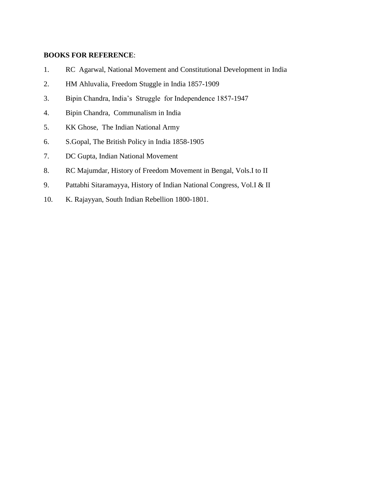- 1. RC Agarwal, National Movement and Constitutional Development in India
- 2. HM Ahluvalia, Freedom Stuggle in India 1857-1909
- 3. Bipin Chandra, India"s Struggle for Independence 1857-1947
- 4. Bipin Chandra, Communalism in India
- 5. KK Ghose, The Indian National Army
- 6. S.Gopal, The British Policy in India 1858-1905
- 7. DC Gupta, Indian National Movement
- 8. RC Majumdar, History of Freedom Movement in Bengal, Vols.I to II
- 9. Pattabhi Sitaramayya, History of Indian National Congress, Vol.I & II
- 10. K. Rajayyan, South Indian Rebellion 1800-1801.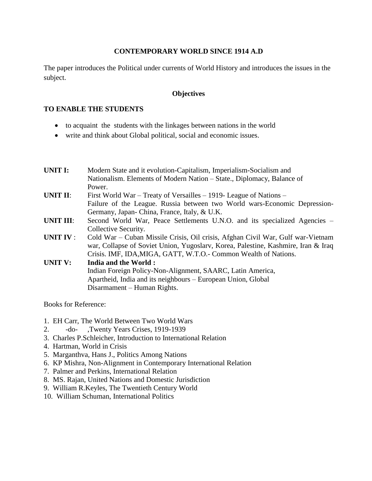## **CONTEMPORARY WORLD SINCE 1914 A.D**

The paper introduces the Political under currents of World History and introduces the issues in the subject.

#### **Objectives**

### **TO ENABLE THE STUDENTS**

- to acquaint the students with the linkages between nations in the world
- write and think about Global political, social and economic issues.

| <b>UNIT I:</b>   | Modern State and it evolution-Capitalism, Imperialism-Socialism and               |
|------------------|-----------------------------------------------------------------------------------|
|                  | Nationalism. Elements of Modern Nation – State., Diplomacy, Balance of            |
|                  | Power.                                                                            |
| <b>UNIT II:</b>  | First World War – Treaty of Versailles – 1919- League of Nations –                |
|                  | Failure of the League. Russia between two World wars-Economic Depression-         |
|                  | Germany, Japan-China, France, Italy, & U.K.                                       |
| <b>UNIT III:</b> | Second World War, Peace Settlements U.N.O. and its specialized Agencies –         |
|                  | Collective Security.                                                              |
| <b>UNIT IV:</b>  | Cold War – Cuban Missile Crisis, Oil crisis, Afghan Civil War, Gulf war-Vietnam   |
|                  | war, Collapse of Soviet Union, Yugoslarv, Korea, Palestine, Kashmire, Iran & Iraq |
|                  | Crisis. IMF, IDA, MIGA, GATT, W.T.O.- Common Wealth of Nations.                   |
| <b>UNIT V:</b>   | <b>India and the World:</b>                                                       |
|                  | Indian Foreign Policy-Non-Alignment, SAARC, Latin America,                        |
|                  | Apartheid, India and its neighbours – European Union, Global                      |

Disarmament – Human Rights.

Books for Reference:

- 1. EH Carr, The World Between Two World Wars
- 2. -do- ,Twenty Years Crises, 1919-1939
- 3. Charles P.Schleicher, Introduction to International Relation
- 4. Hartman, World in Crisis
- 5. Marganthva, Hans J., Politics Among Nations
- 6. KP Mishra, Non-Alignment in Contemporary International Relation
- 7. Palmer and Perkins, International Relation
- 8. MS. Rajan, United Nations and Domestic Jurisdiction
- 9. William R.Keyles, The Twentieth Century World
- 10. William Schuman, International Politics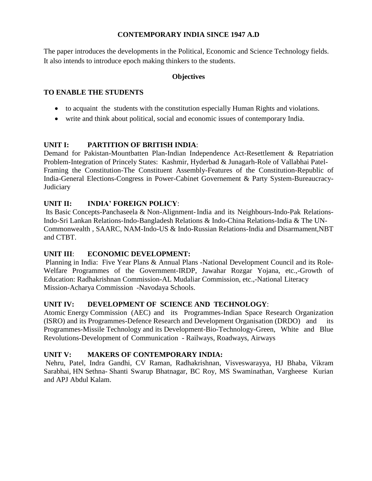## **CONTEMPORARY INDIA SINCE 1947 A.D**

The paper introduces the developments in the Political, Economic and Science Technology fields. It also intends to introduce epoch making thinkers to the students.

## **Objectives**

## **TO ENABLE THE STUDENTS**

- to acquaint the students with the constitution especially Human Rights and violations.
- write and think about political, social and economic issues of contemporary India.

## **UNIT I: PARTITION OF BRITISH INDIA**:

Demand for Pakistan-Mountbatten Plan-Indian Independence Act-Resettlement & Repatriation Problem-Integration of Princely States: Kashmir, Hyderbad & Junagarh-Role of Vallabhai Patel-Framing the Constitution-The Constituent Assembly-Features of the Constitution-Republic of India-General Elections-Congress in Power-Cabinet Governement & Party System-Bureaucracy-**Judiciary** 

## **UNIT II: INDIA' FOREIGN POLICY**:

Its Basic Concepts-Panchaseela & Non-Alignment-India and its Neighbours-Indo-Pak Relations-Indo-Sri Lankan Relations-Indo-Bangladesh Relations & Indo-China Relations-India & The UN-Commonwealth , SAARC, NAM-Indo-US & Indo-Russian Relations-India and Disarmament,NBT and CTBT.

## **UNIT III**: **ECONOMIC DEVELOPMENT:**

Planning in India: Five Year Plans & Annual Plans -National Development Council and its Role-Welfare Programmes of the Government-IRDP, Jawahar Rozgar Yojana, etc.,-Growth of Education: Radhakrishnan Commission-AL Mudaliar Commission, etc.,-National Literacy Mission-Acharya Commission -Navodaya Schools.

## **UNIT IV: DEVELOPMENT OF SCIENCE AND TECHNOLOGY**:

Atomic Energy Commission (AEC) and its Programmes-Indian Space Research Organization (ISRO) and its Programmes-Defence Research and Development Organisation (DRDO) and its Programmes-Missile Technology and its Development-Bio-Technology-Green, White and Blue Revolutions-Development of Communication - Railways, Roadways, Airways

## **UNIT V: MAKERS OF CONTEMPORARY INDIA:**

Nehru, Patel, Indra Gandhi, CV Raman, Radhakrishnan, Visveswarayya, HJ Bhaba, Vikram Sarabhai, HN Sethna- Shanti Swarup Bhatnagar, BC Roy, MS Swaminathan, Vargheese Kurian and APJ Abdul Kalam.